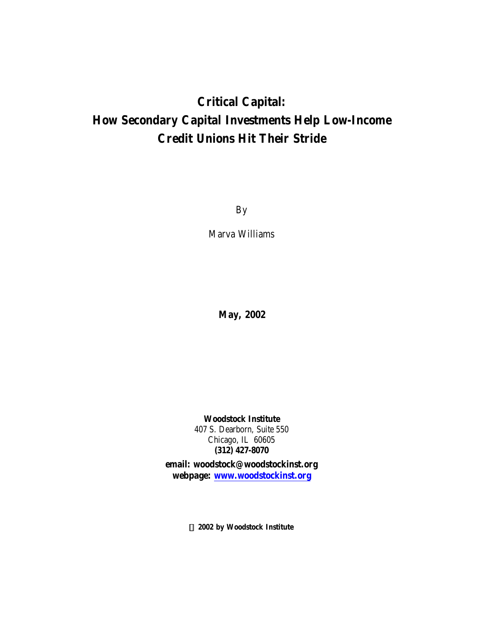# **Critical Capital: How Secondary Capital Investments Help Low-Income Credit Unions Hit Their Stride**

By

Marva Williams

**May, 2002**

**Woodstock Institute** 407 S. Dearborn, Suite 550 Chicago, IL 60605 **(312) 427-8070**

**email: woodstock@woodstockinst.org webpage: www.woodstockinst.org**

**Ó 2002 by Woodstock Institute**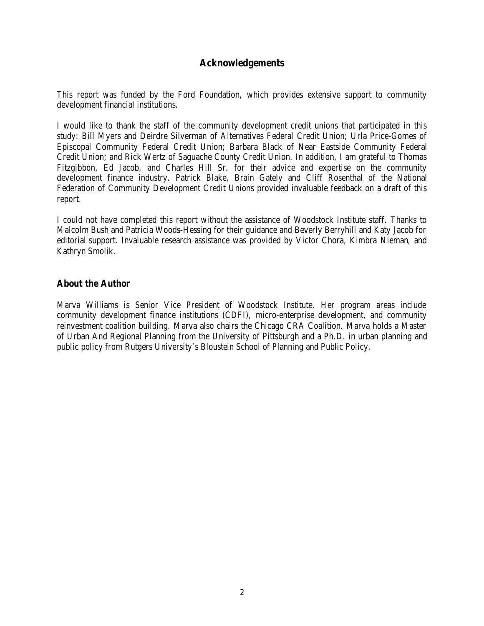# **Acknowledgements**

This report was funded by the Ford Foundation, which provides extensive support to community development financial institutions.

I would like to thank the staff of the community development credit unions that participated in this study: Bill Myers and Deirdre Silverman of Alternatives Federal Credit Union; Urla Price-Gomes of Episcopal Community Federal Credit Union; Barbara Black of Near Eastside Community Federal Credit Union; and Rick Wertz of Saguache County Credit Union. In addition, I am grateful to Thomas Fitzgibbon, Ed Jacob, and Charles Hill Sr. for their advice and expertise on the community development finance industry. Patrick Blake, Brain Gately and Cliff Rosenthal of the National Federation of Community Development Credit Unions provided invaluable feedback on a draft of this report.

I could not have completed this report without the assistance of Woodstock Institute staff. Thanks to Malcolm Bush and Patricia Woods-Hessing for their guidance and Beverly Berryhill and Katy Jacob for editorial support. Invaluable research assistance was provided by Victor Chora, Kimbra Nieman, and Kathryn Smolik.

# **About the Author**

Marva Williams is Senior Vice President of Woodstock Institute. Her program areas include community development finance institutions (CDFI), micro-enterprise development, and community reinvestment coalition building. Marva also chairs the Chicago CRA Coalition. Marva holds a Master of Urban And Regional Planning from the University of Pittsburgh and a Ph.D. in urban planning and public policy from Rutgers University's Bloustein School of Planning and Public Policy.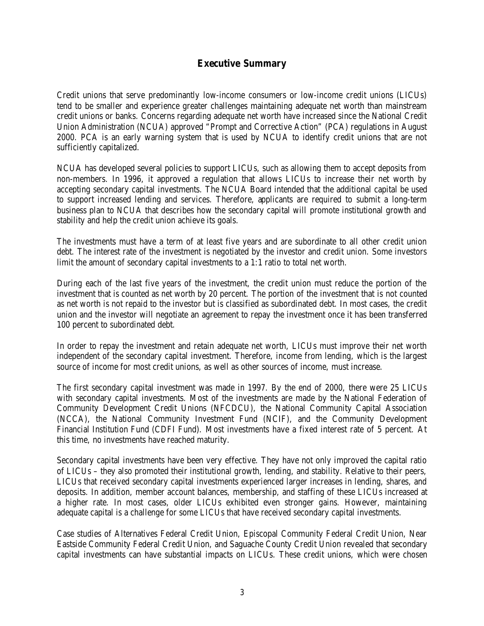# **Executive Summary**

Credit unions that serve predominantly low-income consumers or low-income credit unions (LICUs) tend to be smaller and experience greater challenges maintaining adequate net worth than mainstream credit unions or banks. Concerns regarding adequate net worth have increased since the National Credit Union Administration (NCUA) approved "Prompt and Corrective Action" (PCA) regulations in August 2000. PCA is an early warning system that is used by NCUA to identify credit unions that are not sufficiently capitalized.

NCUA has developed several policies to support LICUs, such as allowing them to accept deposits from non-members. In 1996, it approved a regulation that allows LICUs to increase their net worth by accepting secondary capital investments. The NCUA Board intended that the additional capital be used to support increased lending and services. Therefore, applicants are required to submit a long-term business plan to NCUA that describes how the secondary capital will promote institutional growth and stability and help the credit union achieve its goals.

The investments must have a term of at least five years and are subordinate to all other credit union debt. The interest rate of the investment is negotiated by the investor and credit union. Some investors limit the amount of secondary capital investments to a 1:1 ratio to total net worth.

During each of the last five years of the investment, the credit union must reduce the portion of the investment that is counted as net worth by 20 percent. The portion of the investment that is not counted as net worth is not repaid to the investor but is classified as subordinated debt. In most cases, the credit union and the investor will negotiate an agreement to repay the investment once it has been transferred 100 percent to subordinated debt.

In order to repay the investment and retain adequate net worth, LICUs must improve their net worth independent of the secondary capital investment. Therefore, income from lending, which is the largest source of income for most credit unions, as well as other sources of income, must increase.

The first secondary capital investment was made in 1997. By the end of 2000, there were 25 LICUs with secondary capital investments. Most of the investments are made by the National Federation of Community Development Credit Unions (NFCDCU), the National Community Capital Association (NCCA), the National Community Investment Fund (NCIF), and the Community Development Financial Institution Fund (CDFI Fund). Most investments have a fixed interest rate of 5 percent. At this time, no investments have reached maturity.

Secondary capital investments have been very effective. They have not only improved the capital ratio of LICUs – they also promoted their institutional growth, lending, and stability. Relative to their peers, LICUs that received secondary capital investments experienced larger increases in lending, shares, and deposits. In addition, member account balances, membership, and staffing of these LICUs increased at a higher rate. In most cases, older LICUs exhibited even stronger gains. However, maintaining adequate capital is a challenge for some LICUs that have received secondary capital investments.

Case studies of Alternatives Federal Credit Union, Episcopal Community Federal Credit Union, Near Eastside Community Federal Credit Union, and Saguache County Credit Union revealed that secondary capital investments can have substantial impacts on LICUs. These credit unions, which were chosen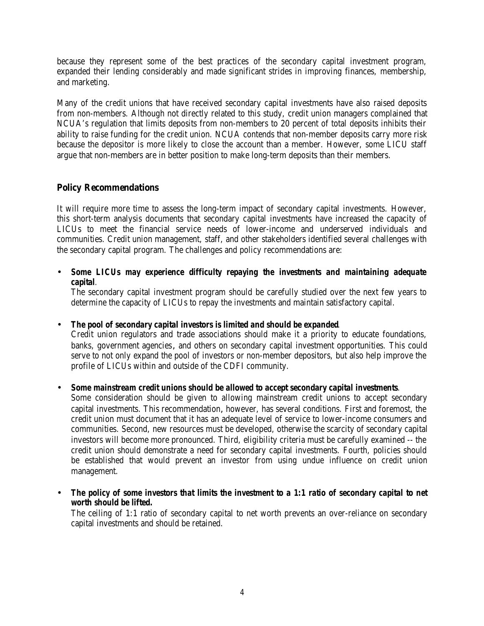because they represent some of the best practices of the secondary capital investment program, expanded their lending considerably and made significant strides in improving finances, membership, and marketing.

Many of the credit unions that have received secondary capital investments have also raised deposits from non-members. Although not directly related to this study, credit union managers complained that NCUA's regulation that limits deposits from non-members to 20 percent of total deposits inhibits their ability to raise funding for the credit union. NCUA contends that non-member deposits carry more risk because the depositor is more likely to close the account than a member. However, some LICU staff argue that non-members are in better position to make long-term deposits than their members.

# **Policy Recommendations**

It will require more time to assess the long-term impact of secondary capital investments. However, this short-term analysis documents that secondary capital investments have increased the capacity of LICUs to meet the financial service needs of lower-income and underserved individuals and communities. Credit union management, staff, and other stakeholders identified several challenges with the secondary capital program. The challenges and policy recommendations are:

• *Some LICUs may experience difficulty repaying the investments and maintaining adequate capital.*

The secondary capital investment program should be carefully studied over the next few years to determine the capacity of LICUs to repay the investments and maintain satisfactory capital.

• *The pool of secondary capital investors is limited and should be expanded.*

Credit union regulators and trade associations should make it a priority to educate foundations, banks, government agencies, and others on secondary capital investment opportunities. This could serve to not only expand the pool of investors or non-member depositors, but also help improve the profile of LICUs within and outside of the CDFI community.

• *Some mainstream credit unions should be allowed to accept secondary capital investments.*

Some consideration should be given to allowing mainstream credit unions to accept secondary capital investments. This recommendation, however, has several conditions. First and foremost, the credit union must document that it has an adequate level of service to lower-income consumers and communities. Second, new resources must be developed, otherwise the scarcity of secondary capital investors will become more pronounced. Third, eligibility criteria must be carefully examined -- the credit union should demonstrate a need for secondary capital investments. Fourth, policies should be established that would prevent an investor from using undue influence on credit union management.

• *The policy of some investors that limits the investment to a 1:1 ratio of secondary capital to net worth should be lifted.*

The ceiling of 1:1 ratio of secondary capital to net worth prevents an over-reliance on secondary capital investments and should be retained.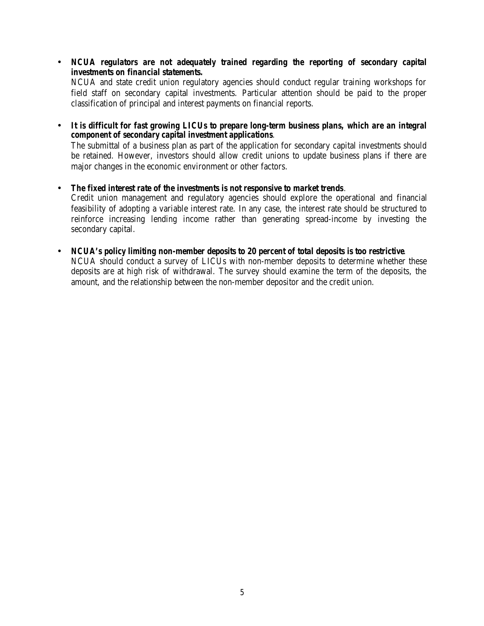• *NCUA regulators are not adequately trained regarding the reporting of secondary capital investments on financial statements.* NCUA and state credit union regulatory agencies should conduct regular training workshops for

field staff on secondary capital investments. Particular attention should be paid to the proper classification of principal and interest payments on financial reports.

• *It is difficult for fast growing LICUs to prepare long-term business plans, which are an integral component of secondary capital investment applications.*

The submittal of a business plan as part of the application for secondary capital investments should be retained. However, investors should allow credit unions to update business plans if there are major changes in the economic environment or other factors.

- *The fixed interest rate of the investments is not responsive to market trends.* Credit union management and regulatory agencies should explore the operational and financial feasibility of adopting a variable interest rate. In any case, the interest rate should be structured to reinforce increasing lending income rather than generating spread-income by investing the secondary capital.
- *NCUA's policy limiting non-member deposits to 20 percent of total deposits is too restrictive.* NCUA should conduct a survey of LICUs with non-member deposits to determine whether these deposits are at high risk of withdrawal. The survey should examine the term of the deposits, the amount, and the relationship between the non-member depositor and the credit union.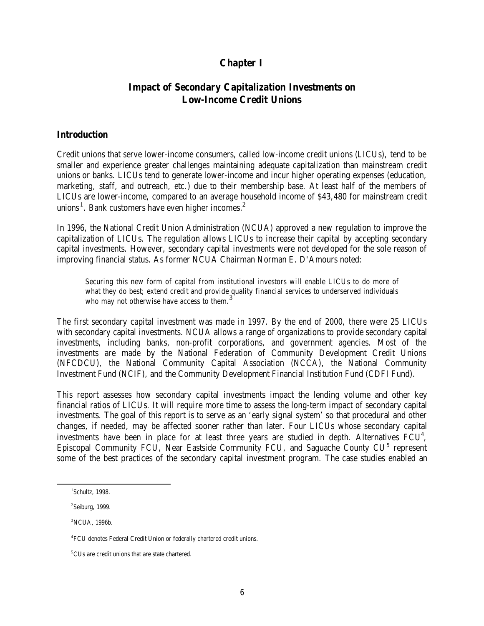# **Chapter I**

# **Impact of Secondary Capitalization Investments on Low-Income Credit Unions**

### **Introduction**

Credit unions that serve lower-income consumers, called low-income credit unions (LICUs), tend to be smaller and experience greater challenges maintaining adequate capitalization than mainstream credit unions or banks. LICUs tend to generate lower-income and incur higher operating expenses (education, marketing, staff, and outreach, etc.) due to their membership base. At least half of the members of LICUs are lower-income, compared to an average household income of \$43,480 for mainstream credit unions<sup>1</sup>. Bank customers have even higher incomes.<sup>2</sup>

In 1996, the National Credit Union Administration (NCUA) approved a new regulation to improve the capitalization of LICUs. The regulation allows LICUs to increase their capital by accepting secondary capital investments. However, secondary capital investments were not developed for the sole reason of improving financial status. As former NCUA Chairman Norman E. D'Amours noted:

Securing this new form of capital from institutional investors will enable LICUs to do more of what they do best; extend credit and provide quality financial services to underserved individuals who may not otherwise have access to them.<sup>3</sup>

The first secondary capital investment was made in 1997. By the end of 2000, there were 25 LICUs with secondary capital investments. NCUA allows a range of organizations to provide secondary capital investments, including banks, non-profit corporations, and government agencies. Most of the investments are made by the National Federation of Community Development Credit Unions (NFCDCU), the National Community Capital Association (NCCA), the National Community Investment Fund (NCIF), and the Community Development Financial Institution Fund (CDFI Fund).

This report assesses how secondary capital investments impact the lending volume and other key financial ratios of LICUs. It will require more time to assess the long-term impact of secondary capital investments. The goal of this report is to serve as an 'early signal system' so that procedural and other changes, if needed, may be affected sooner rather than later. Four LICUs whose secondary capital investments have been in place for at least three years are studied in depth. Alternatives  $FCU<sup>4</sup>$ , Episcopal Community FCU, Near Eastside Community FCU, and Saguache County CU<sup>5</sup> represent some of the best practices of the secondary capital investment program. The case studies enabled an

 $\overline{a}$ 

<sup>1</sup> Schultz, 1998.

 $2$ Seiburg, 1999.

<sup>3</sup>NCUA, 1996b.

<sup>4</sup> FCU denotes Federal Credit Union or federally chartered credit unions.

 $^5 \rm{CUs}$  are credit unions that are state chartered.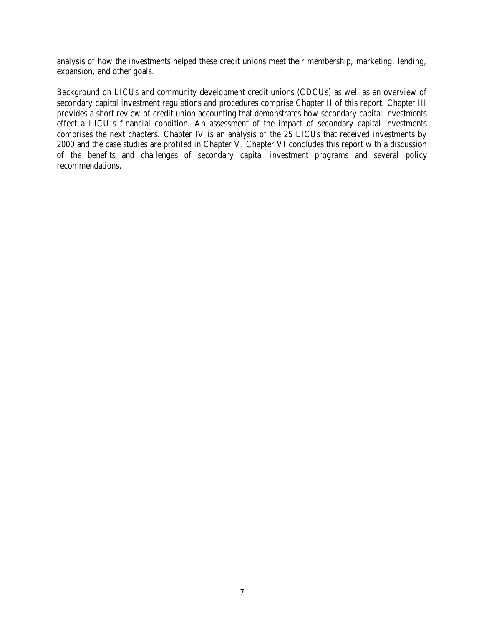analysis of how the investments helped these credit unions meet their membership, marketing, lending, expansion, and other goals.

Background on LICUs and community development credit unions (CDCUs) as well as an overview of secondary capital investment regulations and procedures comprise Chapter II of this report. Chapter III provides a short review of credit union accounting that demonstrates how secondary capital investments effect a LICU's financial condition. An assessment of the impact of secondary capital investments comprises the next chapters. Chapter IV is an analysis of the 25 LICUs that received investments by 2000 and the case studies are profiled in Chapter V. Chapter VI concludes this report with a discussion of the benefits and challenges of secondary capital investment programs and several policy recommendations.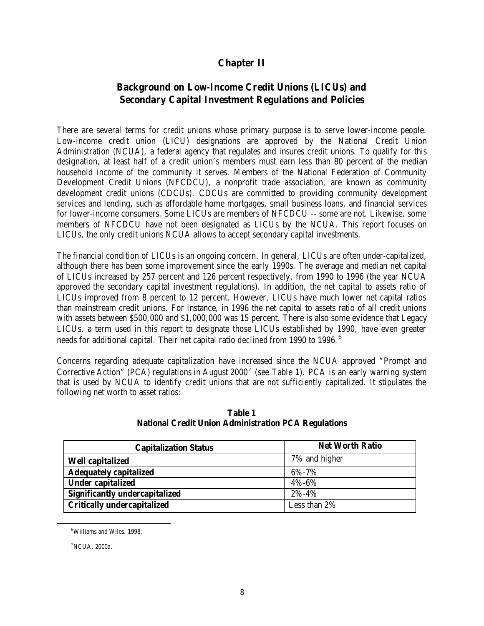# **Chapter II**

# **Background on Low-Income Credit Unions (LICUs) and Secondary Capital Investment Regulations and Policies**

There are several terms for credit unions whose primary purpose is to serve lower-income people. Low-income credit union (LICU) designations are approved by the National Credit Union Administration (NCUA), a federal agency that regulates and insures credit unions. To qualify for this designation, at least half of a credit union's members must earn less than 80 percent of the median household income of the community it serves. Members of the National Federation of Community Development Credit Unions (NFCDCU), a nonprofit trade association, are known as community development credit unions (CDCUs). CDCUs are committed to providing community development services and lending, such as affordable home mortgages, small business loans, and financial services for lower-income consumers. Some LICUs are members of NFCDCU -- some are not. Likewise, some members of NFCDCU have not been designated as LICUs by the NCUA. This report focuses on LICUs, the only credit unions NCUA allows to accept secondary capital investments.

The financial condition of LICUs is an ongoing concern. In general, LICUs are often under-capitalized, although there has been some improvement since the early 1990s. The average and median net capital of LICUs increased by 257 percent and 126 percent respectively, from 1990 to 1996 (the year NCUA approved the secondary capital investment regulations). In addition, the net capital to assets ratio of LICUs improved from 8 percent to 12 percent. However, LICUs have much lower net capital ratios than mainstream credit unions. For instance, in 1996 the net capital to assets ratio of all credit unions with assets between \$500,000 and \$1,000,000 was 15 percent. There is also some evidence that Legacy LICUs, a term used in this report to designate those LICUs established by 1990, have even greater needs for additional capital. Their net capital ratio *declined* from 1990 to 1996.<sup>6</sup>

Concerns regarding adequate capitalization have increased since the NCUA approved "Prompt and Corrective Action" (PCA) regulations in August 2000<sup>7</sup> (see Table 1). PCA is an early warning system that is used by NCUA to identify credit unions that are not sufficiently capitalized. It stipulates the following net worth to asset ratios:

| <b>Capitalization Status</b>          | <b>Net Worth Ratio</b> |
|---------------------------------------|------------------------|
| <b>Well capitalized</b>               | 7% and higher          |
| <b>Adequately capitalized</b>         | 6%-7%                  |
| <b>Under capitalized</b>              | 4%-6%                  |
| <b>Significantly undercapitalized</b> | 2%-4%                  |
| <b>Critically undercapitalized</b>    | Less than 2%           |

**Table 1 National Credit Union Administration PCA Regulations**

 $\overline{a}$ 

<sup>6</sup>Williams and Wiles. 1998.

<sup>7</sup>NCUA, 2000a.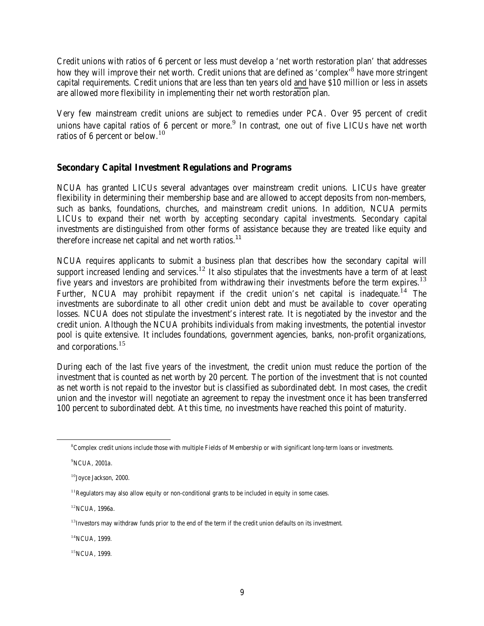Credit unions with ratios of 6 percent or less must develop a 'net worth restoration plan' that addresses how they will improve their net worth. Credit unions that are defined as 'complex'<sup>8</sup> have more stringent capital requirements. Credit unions that are less than ten years old and have \$10 million or less in assets are allowed more flexibility in implementing their net worth restoration plan.

Very few mainstream credit unions are subject to remedies under PCA. Over 95 percent of credit unions have capital ratios of 6 percent or more.<sup>9</sup> In contrast, one out of five LICUs have net worth ratios of 6 percent or below.<sup>10</sup>

# **Secondary Capital Investment Regulations and Programs**

NCUA has granted LICUs several advantages over mainstream credit unions. LICUs have greater flexibility in determining their membership base and are allowed to accept deposits from non-members, such as banks, foundations, churches, and mainstream credit unions. In addition, NCUA permits LICUs to expand their net worth by accepting secondary capital investments. Secondary capital investments are distinguished from other forms of assistance because they are treated like equity and therefore increase net capital and net worth ratios. $11$ 

NCUA requires applicants to submit a business plan that describes how the secondary capital will support increased lending and services.<sup>12</sup> It also stipulates that the investments have a term of at least five years and investors are prohibited from withdrawing their investments before the term expires.<sup>13</sup> Further, NCUA may prohibit repayment if the credit union's net capital is inadequate.<sup>14</sup> The investments are subordinate to all other credit union debt and must be available to cover operating losses. NCUA does not stipulate the investment's interest rate. It is negotiated by the investor and the credit union. Although the NCUA prohibits individuals from making investments, the potential investor pool is quite extensive. It includes foundations, government agencies, banks, non-profit organizations, and corporations.<sup>15</sup>

During each of the last five years of the investment, the credit union must reduce the portion of the investment that is counted as net worth by 20 percent. The portion of the investment that is not counted as net worth is not repaid to the investor but is classified as subordinated debt. In most cases, the credit union and the investor will negotiate an agreement to repay the investment once it has been transferred 100 percent to subordinated debt. At this time, no investments have reached this point of maturity.

 $\overline{a}$ 

<sup>12</sup>NCUA, 1996a.

<sup>14</sup>NCUA, 1999.

<sup>8</sup>Complex credit unions include those with multiple Fields of Membership or with significant long-term loans or investments.

<sup>&</sup>lt;sup>9</sup>NCUA, 2001a.

<sup>10</sup>Joyce Jackson, 2000.

 $11$ Regulators may also allow equity or non-conditional grants to be included in equity in some cases.

<sup>&</sup>lt;sup>13</sup>Investors may withdraw funds prior to the end of the term if the credit union defaults on its investment.

<sup>&</sup>lt;sup>15</sup>NCUA, 1999.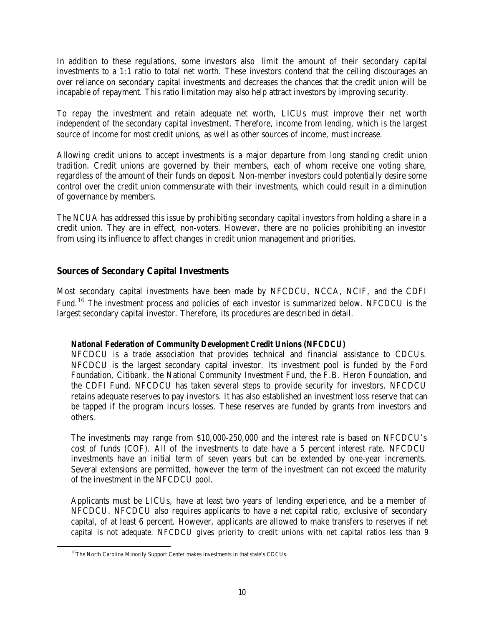In addition to these regulations, some investors also limit the amount of their secondary capital investments to a 1:1 ratio to total net worth. These investors contend that the ceiling discourages an over reliance on secondary capital investments and decreases the chances that the credit union will be incapable of repayment. This ratio limitation may also help attract investors by improving security.

To repay the investment and retain adequate net worth, LICUs must improve their net worth independent of the secondary capital investment. Therefore, income from lending, which is the largest source of income for most credit unions, as well as other sources of income, must increase.

Allowing credit unions to accept investments is a major departure from long standing credit union tradition. Credit unions are governed by their members, each of whom receive one voting share, regardless of the amount of their funds on deposit. Non-member investors could potentially desire some control over the credit union commensurate with their investments, which could result in a diminution of governance by members.

The NCUA has addressed this issue by prohibiting secondary capital investors from holding a share in a credit union. They are in effect, non-voters. However, there are no policies prohibiting an investor from using its influence to affect changes in credit union management and priorities.

# **Sources of Secondary Capital Investments**

Most secondary capital investments have been made by NFCDCU, NCCA, NCIF, and the CDFI Fund.16 The investment process and policies of each investor is summarized below. NFCDCU is the largest secondary capital investor. Therefore, its procedures are described in detail.

# *National Federation of Community Development Credit Unions (NFCDCU)*

NFCDCU is a trade association that provides technical and financial assistance to CDCUs. NFCDCU is the largest secondary capital investor. Its investment pool is funded by the Ford Foundation, Citibank, the National Community Investment Fund, the F.B. Heron Foundation, and the CDFI Fund. NFCDCU has taken several steps to provide security for investors. NFCDCU retains adequate reserves to pay investors. It has also established an investment loss reserve that can be tapped if the program incurs losses. These reserves are funded by grants from investors and others.

The investments may range from \$10,000-250,000 and the interest rate is based on NFCDCU's cost of funds (COF). All of the investments to date have a 5 percent interest rate. NFCDCU investments have an initial term of seven years but can be extended by one-year increments. Several extensions are permitted, however the term of the investment can not exceed the maturity of the investment in the NFCDCU pool.

Applicants must be LICUs, have at least two years of lending experience, and be a member of NFCDCU. NFCDCU also requires applicants to have a net capital ratio, exclusive of secondary capital, of at least 6 percent. However, applicants are allowed to make transfers to reserves if net capital is not adequate. NFCDCU gives priority to credit unions with net capital ratios less than 9

 $\overline{a}$ 

<sup>&</sup>lt;sup>16</sup>The North Carolina Minority Support Center makes investments in that state's CDCUs.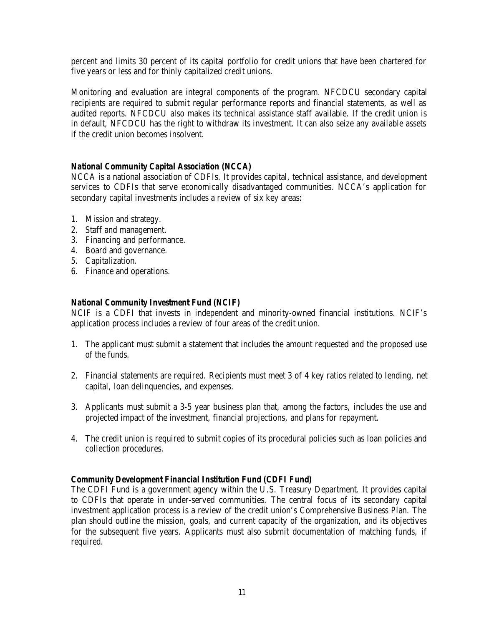percent and limits 30 percent of its capital portfolio for credit unions that have been chartered for five years or less and for thinly capitalized credit unions.

Monitoring and evaluation are integral components of the program. NFCDCU secondary capital recipients are required to submit regular performance reports and financial statements, as well as audited reports. NFCDCU also makes its technical assistance staff available. If the credit union is in default, NFCDCU has the right to withdraw its investment. It can also seize any available assets if the credit union becomes insolvent.

# *National Community Capital Association (NCCA)*

NCCA is a national association of CDFIs. It provides capital, technical assistance, and development services to CDFIs that serve economically disadvantaged communities. NCCA's application for secondary capital investments includes a review of six key areas:

- 1. Mission and strategy.
- 2. Staff and management.
- 3. Financing and performance.
- 4. Board and governance.
- 5. Capitalization.
- 6. Finance and operations.

# *National Community Investment Fund (NCIF)*

NCIF is a CDFI that invests in independent and minority-owned financial institutions. NCIF's application process includes a review of four areas of the credit union.

- 1. The applicant must submit a statement that includes the amount requested and the proposed use of the funds.
- 2. Financial statements are required. Recipients must meet 3 of 4 key ratios related to lending, net capital, loan delinquencies, and expenses.
- 3. Applicants must submit a 3-5 year business plan that, among the factors, includes the use and projected impact of the investment, financial projections, and plans for repayment.
- 4. The credit union is required to submit copies of its procedural policies such as loan policies and collection procedures.

# *Community Development Financial Institution Fund (CDFI Fund)*

The CDFI Fund is a government agency within the U.S. Treasury Department. It provides capital to CDFIs that operate in under-served communities. The central focus of its secondary capital investment application process is a review of the credit union's Comprehensive Business Plan. The plan should outline the mission, goals, and current capacity of the organization, and its objectives for the subsequent five years. Applicants must also submit documentation of matching funds, if required.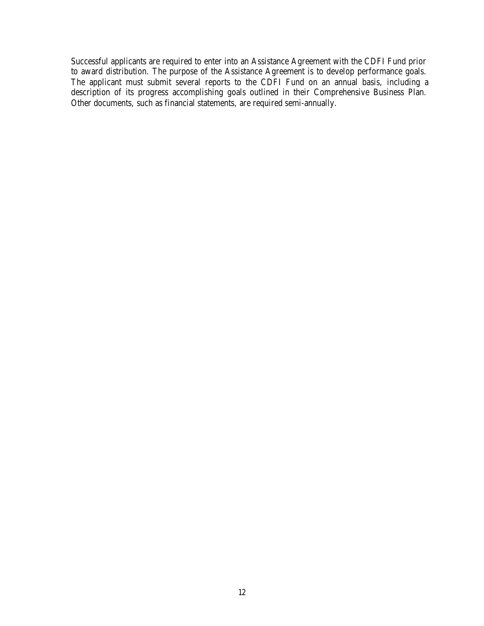Successful applicants are required to enter into an Assistance Agreement with the CDFI Fund prior to award distribution. The purpose of the Assistance Agreement is to develop performance goals. The applicant must submit several reports to the CDFI Fund on an annual basis, including a description of its progress accomplishing goals outlined in their Comprehensive Business Plan. Other documents, such as financial statements, are required semi-annually.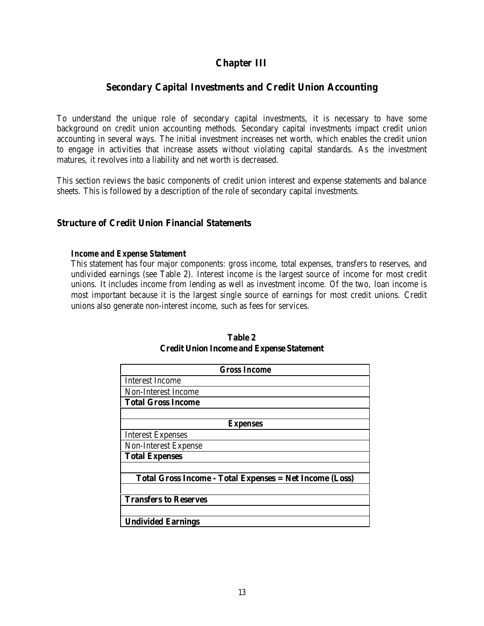# **Chapter III**

# **Secondary Capital Investments and Credit Union Accounting**

To understand the unique role of secondary capital investments, it is necessary to have some background on credit union accounting methods. Secondary capital investments impact credit union accounting in several ways. The initial investment increases net worth, which enables the credit union to engage in activities that increase assets without violating capital standards. As the investment matures, it revolves into a liability and net worth is decreased.

This section reviews the basic components of credit union interest and expense statements and balance sheets. This is followed by a description of the role of secondary capital investments.

# **Structure of Credit Union Financial Statements**

#### *Income and Expense Statement*

This statement has four major components: gross income, total expenses, transfers to reserves, and undivided earnings (see Table 2). Interest income is the largest source of income for most credit unions. It includes income from lending as well as investment income. Of the two, loan income is most important because it is the largest single source of earnings for most credit unions. Credit unions also generate non-interest income, such as fees for services.

| <b>Gross Income</b>                                            |
|----------------------------------------------------------------|
| <b>Interest Income</b>                                         |
| Non-Interest Income                                            |
| <b>Total Gross Income</b>                                      |
|                                                                |
| Expenses                                                       |
| <b>Interest Expenses</b>                                       |
| <b>Non-Interest Expense</b>                                    |
| <b>Total Expenses</b>                                          |
|                                                                |
| <b>Total Gross Income - Total Expenses = Net Income (Loss)</b> |
|                                                                |
| <b>Transfers to Reserves</b>                                   |
|                                                                |
| <b>Undivided Earnings</b>                                      |

**Table 2 Credit Union Income and Expense Statement**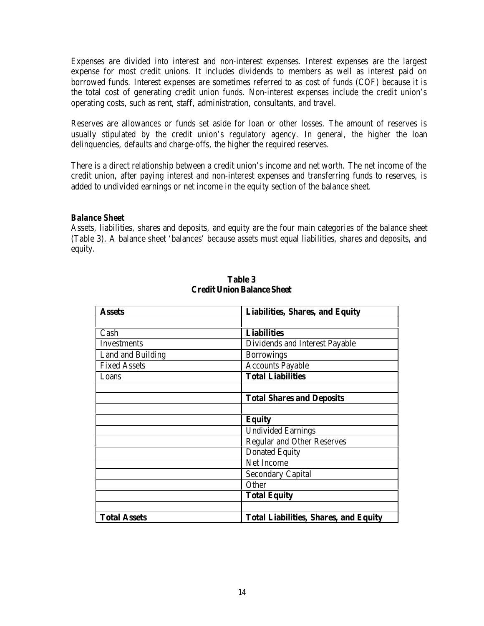Expenses are divided into interest and non-interest expenses. Interest expenses are the largest expense for most credit unions. It includes dividends to members as well as interest paid on borrowed funds. Interest expenses are sometimes referred to as cost of funds (COF) because it is the total cost of generating credit union funds. Non-interest expenses include the credit union's operating costs, such as rent, staff, administration, consultants, and travel.

Reserves are allowances or funds set aside for loan or other losses. The amount of reserves is usually stipulated by the credit union's regulatory agency. In general, the higher the loan delinquencies, defaults and charge-offs, the higher the required reserves.

There is a direct relationship between a credit union's income and net worth. The net income of the credit union, after paying interest and non-interest expenses and transferring funds to reserves, is added to undivided earnings or net income in the equity section of the balance sheet.

### *Balance Sheet*

Assets, liabilities, shares and deposits, and equity are the four main categories of the balance sheet (Table 3). A balance sheet 'balances' because assets must equal liabilities, shares and deposits, and equity.

| <b>Assets</b>       | <b>Liabilities, Shares, and Equity</b>       |
|---------------------|----------------------------------------------|
|                     |                                              |
| Cash                | <b>Liabilities</b>                           |
| <b>Investments</b>  | Dividends and Interest Payable               |
| Land and Building   | <b>Borrowings</b>                            |
| <b>Fixed Assets</b> | <b>Accounts Payable</b>                      |
| Loans               | <b>Total Liabilities</b>                     |
|                     |                                              |
|                     | <b>Total Shares and Deposits</b>             |
|                     |                                              |
|                     | <b>Equity</b>                                |
|                     | <b>Undivided Earnings</b>                    |
|                     | <b>Regular and Other Reserves</b>            |
|                     | <b>Donated Equity</b>                        |
|                     | Net Income                                   |
|                     | <b>Secondary Capital</b>                     |
|                     | Other                                        |
|                     | <b>Total Equity</b>                          |
|                     |                                              |
| <b>Total Assets</b> | <b>Total Liabilities, Shares, and Equity</b> |

#### **Table 3 Credit Union Balance Sheet**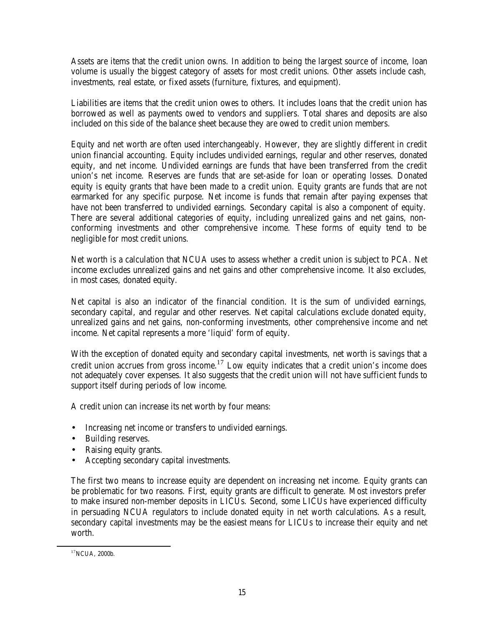Assets are items that the credit union owns. In addition to being the largest source of income, loan volume is usually the biggest category of assets for most credit unions. Other assets include cash, investments, real estate, or fixed assets (furniture, fixtures, and equipment).

Liabilities are items that the credit union owes to others. It includes loans that the credit union has borrowed as well as payments owed to vendors and suppliers. Total shares and deposits are also included on this side of the balance sheet because they are owed to credit union members.

Equity and net worth are often used interchangeably. However, they are slightly different in credit union financial accounting. Equity includes undivided earnings, regular and other reserves, donated equity, and net income. Undivided earnings are funds that have been transferred from the credit union's net income. Reserves are funds that are set-aside for loan or operating losses. Donated equity is equity grants that have been made to a credit union. Equity grants are funds that are not earmarked for any specific purpose. Net income is funds that remain after paying expenses that have not been transferred to undivided earnings. Secondary capital is also a component of equity. There are several additional categories of equity, including unrealized gains and net gains, nonconforming investments and other comprehensive income. These forms of equity tend to be negligible for most credit unions.

Net worth is a calculation that NCUA uses to assess whether a credit union is subject to PCA. Net income excludes unrealized gains and net gains and other comprehensive income. It also excludes, in most cases, donated equity.

Net capital is also an indicator of the financial condition. It is the sum of undivided earnings, secondary capital, and regular and other reserves. Net capital calculations exclude donated equity, unrealized gains and net gains, non-conforming investments, other comprehensive income and net income. Net capital represents a more 'liquid' form of equity.

With the exception of donated equity and secondary capital investments, net worth is savings that a credit union accrues from gross income.17 Low equity indicates that a credit union's income does not adequately cover expenses. It also suggests that the credit union will not have sufficient funds to support itself during periods of low income.

A credit union can increase its net worth by four means:

- Increasing net income or transfers to undivided earnings.
- Building reserves.
- Raising equity grants.
- Accepting secondary capital investments.

The first two means to increase equity are dependent on increasing net income. Equity grants can be problematic for two reasons. First, equity grants are difficult to generate. Most investors prefer to make insured non-member deposits in LICUs. Second, some LICUs have experienced difficulty in persuading NCUA regulators to include donated equity in net worth calculations. As a result, secondary capital investments may be the easiest means for LICUs to increase their equity and net worth.

 $\overline{a}$ 

 $17$ NCUA, 2000b.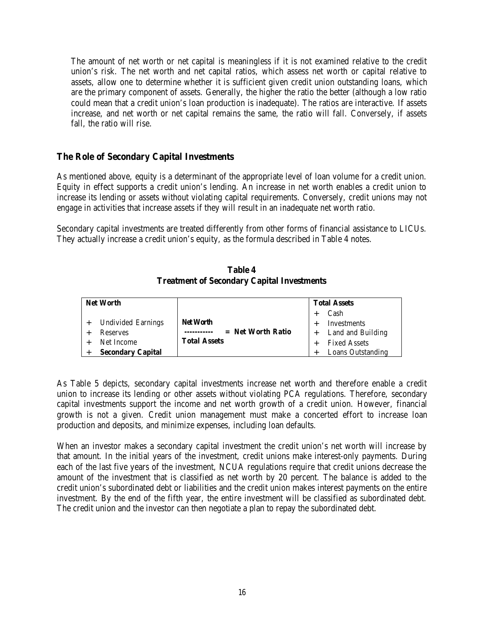The amount of net worth or net capital is meaningless if it is not examined relative to the credit union's risk. The net worth and net capital ratios, which assess net worth or capital relative to assets, allow one to determine whether it is sufficient given credit union outstanding loans, which are the primary component of assets. Generally, the higher the ratio the better (although a low ratio could mean that a credit union's loan production is inadequate). The ratios are interactive. If assets increase, and net worth or net capital remains the same, the ratio will fall. Conversely, if assets fall, the ratio will rise.

# **The Role of Secondary Capital Investments**

As mentioned above, equity is a determinant of the appropriate level of loan volume for a credit union. Equity in effect supports a credit union's lending. An increase in net worth enables a credit union to increase its lending or assets without violating capital requirements. Conversely, credit unions may not engage in activities that increase assets if they will result in an inadequate net worth ratio.

Secondary capital investments are treated differently from other forms of financial assistance to LICUs. They actually increase a credit union's equity, as the formula described in Table 4 notes.

**Table 4 Treatment of Secondary Capital Investments**

| <b>Net Worth</b>          |                     | <b>Total Assets</b> |                          |  |
|---------------------------|---------------------|---------------------|--------------------------|--|
|                           |                     |                     | Cash                     |  |
| <b>Undivided Earnings</b> | <b>Net Worth</b>    |                     | Investments              |  |
| <b>Reserves</b>           | $=$ Net Worth Ratio |                     | Land and Building        |  |
| Net Income                | <b>Total Assets</b> |                     | <b>Fixed Assets</b>      |  |
| <b>Secondary Capital</b>  |                     |                     | <b>Loans Outstanding</b> |  |

As Table 5 depicts, secondary capital investments increase net worth and therefore enable a credit union to increase its lending or other assets without violating PCA regulations. Therefore, secondary capital investments support the income and net worth growth of a credit union. However, financial growth is not a given. Credit union management must make a concerted effort to increase loan production and deposits, and minimize expenses, including loan defaults.

When an investor makes a secondary capital investment the credit union's net worth will increase by that amount. In the initial years of the investment, credit unions make interest-only payments. During each of the last five years of the investment, NCUA regulations require that credit unions decrease the amount of the investment that is classified as net worth by 20 percent. The balance is added to the credit union's subordinated debt or liabilities and the credit union makes interest payments on the entire investment. By the end of the fifth year, the entire investment will be classified as subordinated debt. The credit union and the investor can then negotiate a plan to repay the subordinated debt.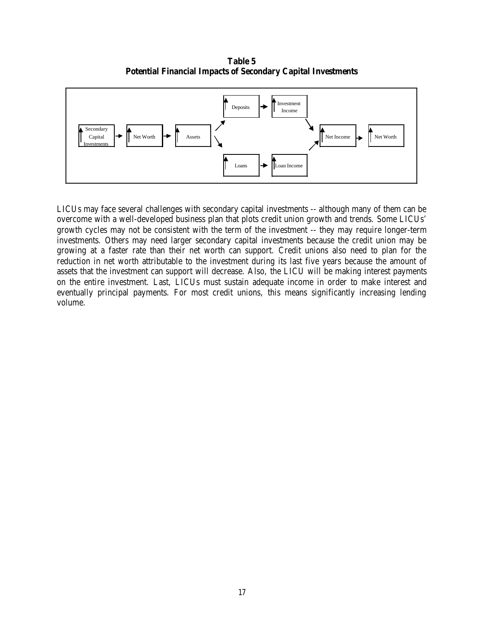**Table 5 Potential Financial Impacts of Secondary Capital Investments**



LICUs may face several challenges with secondary capital investments -- although many of them can be overcome with a well-developed business plan that plots credit union growth and trends. Some LICUs' growth cycles may not be consistent with the term of the investment -- they may require longer-term investments. Others may need larger secondary capital investments because the credit union may be growing at a faster rate than their net worth can support. Credit unions also need to plan for the reduction in net worth attributable to the investment during its last five years because the amount of assets that the investment can support will decrease. Also, the LICU will be making interest payments on the entire investment. Last, LICUs must sustain adequate income in order to make interest and eventually principal payments. For most credit unions, this means significantly increasing lending volume.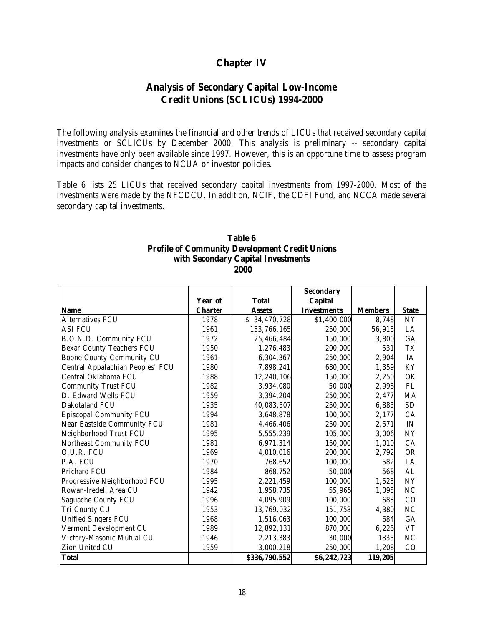# **Chapter IV**

# **Analysis of Secondary Capital Low-Income Credit Unions (SCLICUs) 1994-2000**

The following analysis examines the financial and other trends of LICUs that received secondary capital investments or SCLICUs by December 2000. This analysis is preliminary -- secondary capital investments have only been available since 1997. However, this is an opportune time to assess program impacts and consider changes to NCUA or investor policies.

Table 6 lists 25 LICUs that received secondary capital investments from 1997-2000. Most of the investments were made by the NFCDCU. In addition, NCIF, the CDFI Fund, and NCCA made several secondary capital investments.

#### **Table 6 Profile of Community Development Credit Unions with Secondary Capital Investments 2000**

|                                  |                |               | <b>Secondary</b>   |                |              |
|----------------------------------|----------------|---------------|--------------------|----------------|--------------|
|                                  | Year of        | <b>Total</b>  | <b>Capital</b>     |                |              |
| <b>Name</b>                      | <b>Charter</b> | <b>Assets</b> | <b>Investments</b> | <b>Members</b> | <b>State</b> |
| Alternatives FCU                 | 1978           | \$34,470,728  | \$1,400,000        | 8,748          | <b>NY</b>    |
| <b>ASI FCU</b>                   | 1961           | 133,766,165   | 250,000            | 56,913         | LA           |
| B.O.N.D. Community FCU           | 1972           | 25,466,484    | 150,000            | 3,800          | GA           |
| <b>Bexar County Teachers FCU</b> | 1950           | 1,276,483     | 200,000            | 531            | <b>TX</b>    |
| <b>Boone County Community CU</b> | 1961           | 6,304,367     | 250,000            | 2,904          | IA           |
| Central Appalachian Peoples' FCU | 1980           | 7,898,241     | 680,000            | 1,359          | KY           |
| Central Oklahoma FCU             | 1988           | 12,240,106    | 150,000            | 2,250          | OK           |
| <b>Community Trust FCU</b>       | 1982           | 3,934,080     | 50,000             | 2,998          | ${\rm FL}$   |
| D. Edward Wells FCU              | 1959           | 3,394,204     | 250,000            | 2,477          | MA           |
| Dakotaland FCU                   | 1935           | 40,083,507    | 250,000            | 6,885          | <b>SD</b>    |
| Episcopal Community FCU          | 1994           | 3,648,878     | 100,000            | 2,177          | CA           |
| Near Eastside Community FCU      | 1981           | 4,466,406     | 250,000            | 2,571          | IN           |
| Neighborhood Trust FCU           | 1995           | 5,555,239     | 105,000            | 3,006          | NY           |
| Northeast Community FCU          | 1981           | 6,971,314     | 150,000            | 1,010          | CA           |
| O.U.R. FCU                       | 1969           | 4,010,016     | 200,000            | 2,792          | <b>OR</b>    |
| P.A. FCU                         | 1970           | 768,652       | 100,000            | 582            | LA           |
| Prichard FCU                     | 1984           | 868,752       | 50,000             | 568            | AL           |
| Progressive Neighborhood FCU     | 1995           | 2,221,459     | 100,000            | 1,523          | NY           |
| Rowan-Iredell Area CU            | 1942           | 1,958,735     | 55,965             | 1,095          | $\rm NC$     |
| Saguache County FCU              | 1996           | 4,095,909     | 100,000            | 683            | CO           |
| Tri-County CU                    | 1953           | 13,769,032    | 151,758            | 4,380          | $\rm NC$     |
| <b>Unified Singers FCU</b>       | 1968           | 1,516,063     | 100,000            | 684            | GA           |
| Vermont Development CU           | 1989           | 12,892,131    | 870,000            | 6,226          | <b>VT</b>    |
| Victory-Masonic Mutual CU        | 1946           | 2,213,383     | 30,000             | 1835           | NC           |
| Zion United CU                   | 1959           | 3,000,218     | 250,000            | 1,208          | CO           |
| <b>Total</b>                     |                | \$336,790,552 | \$6,242,723        | 119,205        |              |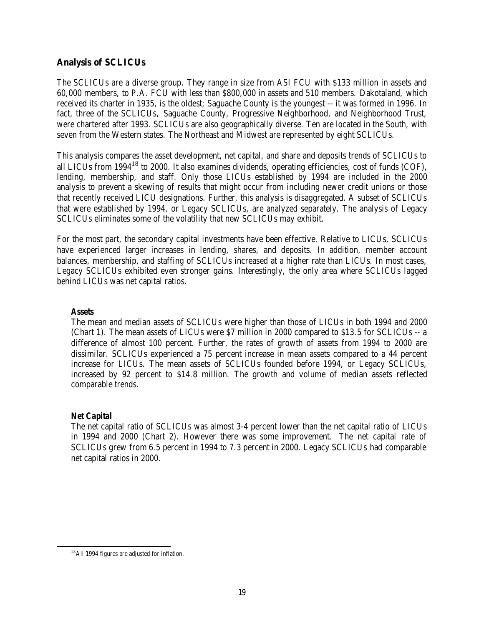# **Analysis of SCLICUs**

The SCLICUs are a diverse group. They range in size from ASI FCU with \$133 million in assets and 60,000 members, to P.A. FCU with less than \$800,000 in assets and 510 members. Dakotaland, which received its charter in 1935, is the oldest; Saguache County is the youngest -- it was formed in 1996. In fact, three of the SCLICUs, Saguache County, Progressive Neighborhood, and Neighborhood Trust, were chartered after 1993. SCLICUs are also geographically diverse. Ten are located in the South, with seven from the Western states. The Northeast and Midwest are represented by eight SCLICUs.

This analysis compares the asset development, net capital, and share and deposits trends of SCLICUs to all LICUs from  $1994^{18}$  to 2000. It also examines dividends, operating efficiencies, cost of funds (COF), lending, membership, and staff. Only those LICUs established by 1994 are included in the 2000 analysis to prevent a skewing of results that might occur from including newer credit unions or those that recently received LICU designations. Further, this analysis is disaggregated. A subset of SCLICUs that were established by 1994, or Legacy SCLICUs, are analyzed separately. The analysis of Legacy SCLICUs eliminates some of the volatility that new SCLICUs may exhibit.

For the most part, the secondary capital investments have been effective. Relative to LICUs, SCLICUs have experienced larger increases in lending, shares, and deposits. In addition, member account balances, membership, and staffing of SCLICUs increased at a higher rate than LICUs. In most cases, Legacy SCLICUs exhibited even stronger gains. Interestingly, the only area where SCLICUs lagged behind LICUs was net capital ratios.

### *Assets*

The mean and median assets of SCLICUs were higher than those of LICUs in both 1994 and 2000 (Chart 1). The mean assets of LICUs were \$7 million in 2000 compared to \$13.5 for SCLICUs -- a difference of almost 100 percent. Further, the rates of growth of assets from 1994 to 2000 are dissimilar. SCLICUs experienced a 75 percent increase in mean assets compared to a 44 percent increase for LICUs. The mean assets of SCLICUs founded before 1994, or Legacy SCLICUs, increased by 92 percent to \$14.8 million. The growth and volume of median assets reflected comparable trends.

# *Net Capital*

 $\overline{a}$ 

The net capital ratio of SCLICUs was almost 3-4 percent lower than the net capital ratio of LICUs in 1994 and 2000 (Chart 2). However there was some improvement. The net capital rate of SCLICUs grew from 6.5 percent in 1994 to 7.3 percent in 2000. Legacy SCLICUs had comparable net capital ratios in 2000.

<sup>&</sup>lt;sup>18</sup>All 1994 figures are adjusted for inflation.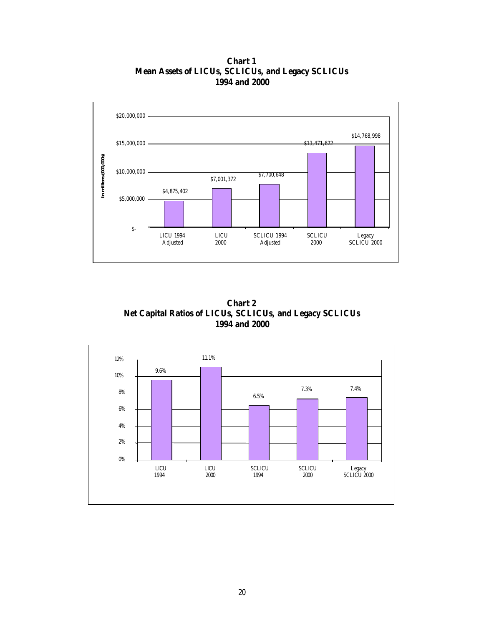**Chart 1 Mean Assets of LICUs, SCLICUs, and Legacy SCLICUs 1994 and 2000**



**Chart 2 Net Capital Ratios of LICUs, SCLICUs, and Legacy SCLICUs 1994 and 2000**

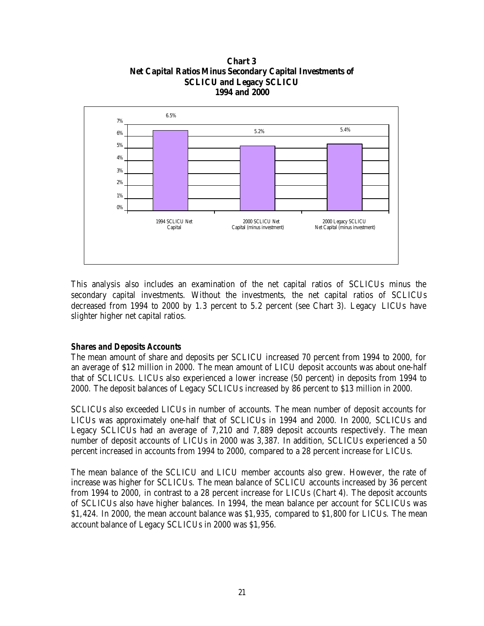### **Chart 3 Net Capital Ratios Minus Secondary Capital Investments of SCLICU and Legacy SCLICU 1994 and 2000**



This analysis also includes an examination of the net capital ratios of SCLICUs minus the secondary capital investments. Without the investments, the net capital ratios of SCLICUs decreased from 1994 to 2000 by 1.3 percent to 5.2 percent (see Chart 3). Legacy LICUs have slighter higher net capital ratios.

# *Shares and Deposits Accounts*

The mean amount of share and deposits per SCLICU increased 70 percent from 1994 to 2000, for an average of \$12 million in 2000. The mean amount of LICU deposit accounts was about one-half that of SCLICUs. LICUs also experienced a lower increase (50 percent) in deposits from 1994 to 2000. The deposit balances of Legacy SCLICUs increased by 86 percent to \$13 million in 2000.

SCLICUs also exceeded LICUs in number of accounts. The mean number of deposit accounts for LICUs was approximately one-half that of SCLICUs in 1994 and 2000. In 2000, SCLICUs and Legacy SCLICUs had an average of 7,210 and 7,889 deposit accounts respectively. The mean number of deposit accounts of LICUs in 2000 was 3,387. In addition, SCLICUs experienced a 50 percent increased in accounts from 1994 to 2000, compared to a 28 percent increase for LICUs.

The mean balance of the SCLICU and LICU member accounts also grew. However, the rate of increase was higher for SCLICUs. The mean balance of SCLICU accounts increased by 36 percent from 1994 to 2000, in contrast to a 28 percent increase for LICUs (Chart 4). The deposit accounts of SCLICUs also have higher balances. In 1994, the mean balance per account for SCLICUs was \$1,424. In 2000, the mean account balance was \$1,935, compared to \$1,800 for LICUs. The mean account balance of Legacy SCLICUs in 2000 was \$1,956.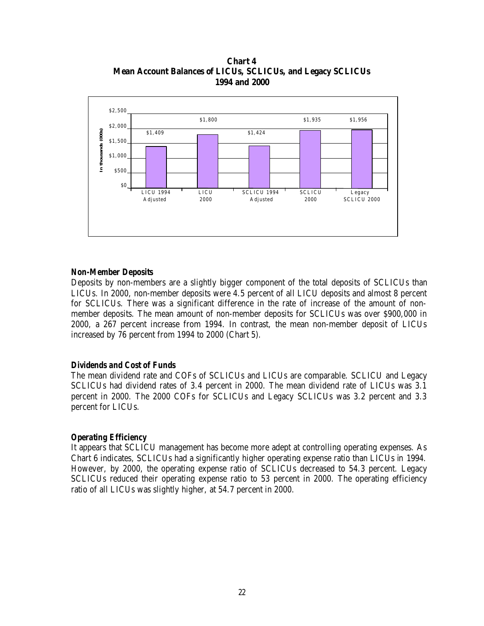**Chart 4 Mean Account Balances of LICUs, SCLICUs, and Legacy SCLICUs 1994 and 2000**



### *Non-Member Deposits*

Deposits by non-members are a slightly bigger component of the total deposits of SCLICUs than LICUs. In 2000, non-member deposits were 4.5 percent of all LICU deposits and almost 8 percent for SCLICUs. There was a significant difference in the rate of increase of the amount of nonmember deposits. The mean amount of non-member deposits for SCLICUs was over \$900,000 in 2000, a 267 percent increase from 1994. In contrast, the mean non-member deposit of LICUs increased by 76 percent from 1994 to 2000 (Chart 5).

#### *Dividends and Cost of Funds*

The mean dividend rate and COFs of SCLICUs and LICUs are comparable. SCLICU and Legacy SCLICUs had dividend rates of 3.4 percent in 2000. The mean dividend rate of LICUs was 3.1 percent in 2000. The 2000 COFs for SCLICUs and Legacy SCLICUs was 3.2 percent and 3.3 percent for LICUs.

#### *Operating Efficiency*

It appears that SCLICU management has become more adept at controlling operating expenses. As Chart 6 indicates, SCLICUs had a significantly higher operating expense ratio than LICUs in 1994. However, by 2000, the operating expense ratio of SCLICUs decreased to 54.3 percent. Legacy SCLICUs reduced their operating expense ratio to 53 percent in 2000. The operating efficiency ratio of all LICUs was slightly higher, at 54.7 percent in 2000.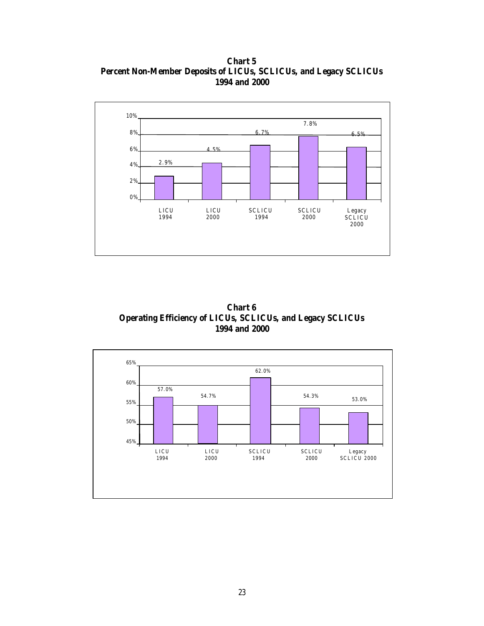**Chart 5 Percent Non-Member Deposits of LICUs, SCLICUs, and Legacy SCLICUs 1994 and 2000**



**Chart 6 Operating Efficiency of LICUs, SCLICUs, and Legacy SCLICUs 1994 and 2000**

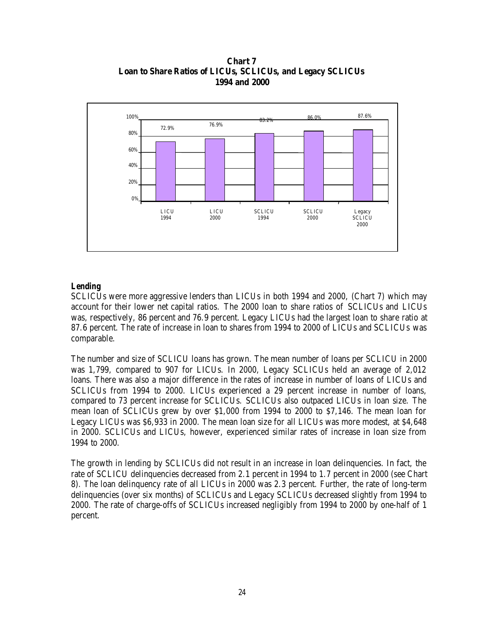**Chart 7 Loan to Share Ratios of LICUs, SCLICUs, and Legacy SCLICUs 1994 and 2000**



### *Lending*

SCLICUs were more aggressive lenders than LICUs in both 1994 and 2000, (Chart 7) which may account for their lower net capital ratios. The 2000 loan to share ratios of SCLICUs and LICUs was, respectively, 86 percent and 76.9 percent. Legacy LICUs had the largest loan to share ratio at 87.6 percent. The rate of increase in loan to shares from 1994 to 2000 of LICUs and SCLICUs was comparable.

The number and size of SCLICU loans has grown. The mean number of loans per SCLICU in 2000 was 1,799, compared to 907 for LICUs. In 2000, Legacy SCLICUs held an average of 2,012 loans. There was also a major difference in the rates of increase in number of loans of LICUs and SCLICUs from 1994 to 2000. LICUs experienced a 29 percent increase in number of loans, compared to 73 percent increase for SCLICUs. SCLICUs also outpaced LICUs in loan size. The mean loan of SCLICUs grew by over \$1,000 from 1994 to 2000 to \$7,146. The mean loan for Legacy LICUs was \$6,933 in 2000. The mean loan size for all LICUs was more modest, at \$4,648 in 2000. SCLICUs and LICUs, however, experienced similar rates of increase in loan size from 1994 to 2000.

The growth in lending by SCLICUs did not result in an increase in loan delinquencies. In fact, the rate of SCLICU delinquencies decreased from 2.1 percent in 1994 to 1.7 percent in 2000 (see Chart 8). The loan delinquency rate of all LICUs in 2000 was 2.3 percent. Further, the rate of long-term delinquencies (over six months) of SCLICUs and Legacy SCLICUs decreased slightly from 1994 to 2000. The rate of charge-offs of SCLICUs increased negligibly from 1994 to 2000 by one-half of 1 percent.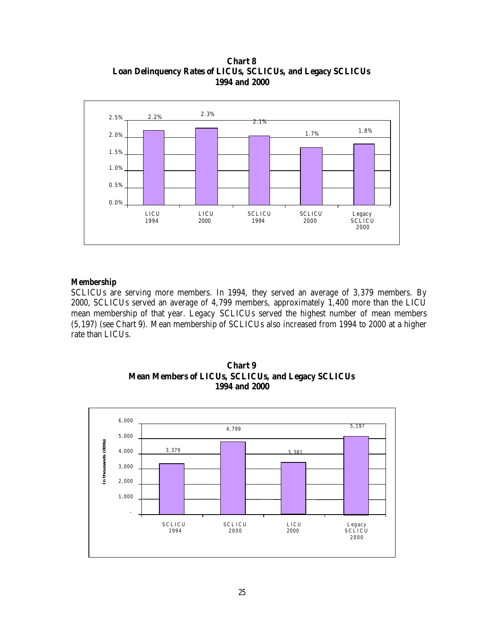**Chart 8 Loan Delinquency Rates of LICUs, SCLICUs, and Legacy SCLICUs 1994 and 2000**



#### *Membership*

SCLICUs are serving more members. In 1994, they served an average of 3,379 members. By 2000, SCLICUs served an average of 4,799 members, approximately 1,400 more than the LICU mean membership of that year. Legacy SCLICUs served the highest number of mean members (5,197) (see Chart 9). Mean membership of SCLICUs also increased from 1994 to 2000 at a higher rate than LICUs.



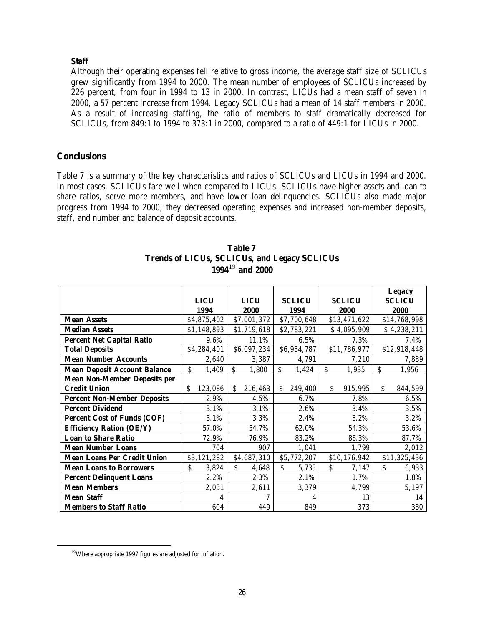# *Staff*

Although their operating expenses fell relative to gross income, the average staff size of SCLICUs grew significantly from 1994 to 2000. The mean number of employees of SCLICUs increased by 226 percent, from four in 1994 to 13 in 2000. In contrast, LICUs had a mean staff of seven in 2000, a 57 percent increase from 1994. Legacy SCLICUs had a mean of 14 staff members in 2000. As a result of increasing staffing, the ratio of members to staff dramatically decreased for SCLICUs, from 849:1 to 1994 to 373:1 in 2000, compared to a ratio of 449:1 for LICUs in 2000.

# **Conclusions**

Table 7 is a summary of the key characteristics and ratios of SCLICUs and LICUs in 1994 and 2000. In most cases, SCLICUs fare well when compared to LICUs. SCLICUs have higher assets and loan to share ratios, serve more members, and have lower loan delinquencies. SCLICUs also made major progress from 1994 to 2000; they decreased operating expenses and increased non-member deposits, staff, and number and balance of deposit accounts.

|                                     |               |               |               |               | <b>Legacy</b> |
|-------------------------------------|---------------|---------------|---------------|---------------|---------------|
|                                     | <b>LICU</b>   | <b>LICU</b>   | <b>SCLICU</b> | <b>SCLICU</b> | <b>SCLICU</b> |
|                                     | 1994          | 2000          | 1994          | 2000          | 2000          |
| <b>Mean Assets</b>                  | \$4,875,402   | \$7,001,372   | \$7,700,648   | \$13,471,622  | \$14,768,998  |
| <b>Median Assets</b>                | \$1,148,893   | \$1,719,618   | \$2,783,221   | \$4,095,909   | \$4,238,211   |
| <b>Percent Net Capital Ratio</b>    | 9.6%          | 11.1%         | 6.5%          | 7.3%          | 7.4%          |
| <b>Total Deposits</b>               | \$4,284,401   | \$6,097,234   | \$6,934,787   | \$11,786,977  | \$12,918,448  |
| <b>Mean Number Accounts</b>         | 2,640         | 3,387         | 4,791         | 7,210         | 7,889         |
| <b>Mean Deposit Account Balance</b> | \$<br>1,409   | Ŝ.<br>1,800   | \$<br>1,424   | \$<br>1,935   | \$<br>1,956   |
| <b>Mean Non-Member Deposits per</b> |               |               |               |               |               |
| <b>Credit Union</b>                 | \$<br>123,086 | 216,463<br>S. | S.<br>249,400 | Š.<br>915,995 | S.<br>844,599 |
| <b>Percent Non-Member Deposits</b>  | 2.9%          | 4.5%          | 6.7%          | 7.8%          | 6.5%          |
| <b>Percent Dividend</b>             | 3.1%          | 3.1%          | 2.6%          | 3.4%          | 3.5%          |
| <b>Percent Cost of Funds (COF)</b>  | 3.1%          | 3.3%          | 2.4%          | 3.2%          | 3.2%          |
| <b>Efficiency Ration (OE/Y)</b>     | 57.0%         | 54.7%         | 62.0%         | 54.3%         | 53.6%         |
| <b>Loan to Share Ratio</b>          | 72.9%         | 76.9%         | 83.2%         | 86.3%         | 87.7%         |
| <b>Mean Number Loans</b>            | 704           | 907           | 1,041         | 1,799         | 2,012         |
| <b>Mean Loans Per Credit Union</b>  | \$3,121,282   | \$4,687,310   | \$5,772,207   | \$10,176,942  | \$11,325,436  |
| <b>Mean Loans to Borrowers</b>      | \$<br>3,824   | \$<br>4,648   | S.<br>5,735   | Ś.<br>7,147   | \$<br>6,933   |
| <b>Percent Delinquent Loans</b>     | 2.2%          | 2.3%          | 2.1%          | 1.7%          | 1.8%          |
| <b>Mean Members</b>                 | 2,031         | 2,611         | 3,379         | 4,799         | 5,197         |
| <b>Mean Staff</b>                   | 4             | 7             | 4             | 13            | 14            |
| <b>Members to Staff Ratio</b>       | 604           | 449           | 849           | 373           | 380           |

| Table 7                                             |
|-----------------------------------------------------|
| <b>Trends of LICUs, SCLICUs, and Legacy SCLICUs</b> |
| $1994^{19}$ and 2000                                |

 $\overline{a}$ 

<sup>&</sup>lt;sup>19</sup>Where appropriate 1997 figures are adjusted for inflation.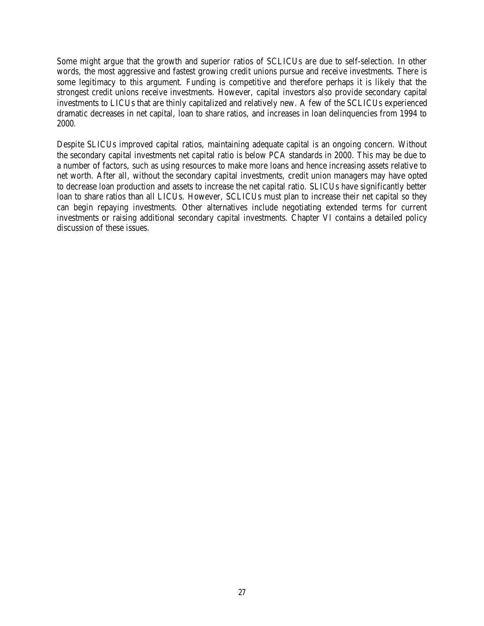Some might argue that the growth and superior ratios of SCLICUs are due to self-selection. In other words, the most aggressive and fastest growing credit unions pursue and receive investments. There is some legitimacy to this argument. Funding is competitive and therefore perhaps it is likely that the strongest credit unions receive investments. However, capital investors also provide secondary capital investments to LICUs that are thinly capitalized and relatively new. A few of the SCLICUs experienced dramatic decreases in net capital, loan to share ratios, and increases in loan delinquencies from 1994 to 2000.

Despite SLICUs improved capital ratios, maintaining adequate capital is an ongoing concern. Without the secondary capital investments net capital ratio is below PCA standards in 2000. This may be due to a number of factors, such as using resources to make more loans and hence increasing assets relative to net worth. After all, without the secondary capital investments, credit union managers may have opted to decrease loan production and assets to increase the net capital ratio. SLICUs have significantly better loan to share ratios than all LICUs. However, SCLICUs must plan to increase their net capital so they can begin repaying investments. Other alternatives include negotiating extended terms for current investments or raising additional secondary capital investments. Chapter VI contains a detailed policy discussion of these issues.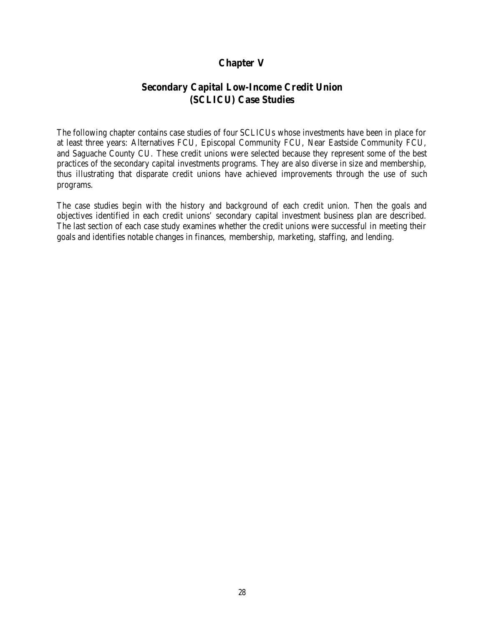# **Chapter V**

# **Secondary Capital Low-Income Credit Union (SCLICU) Case Studies**

The following chapter contains case studies of four SCLICUs whose investments have been in place for at least three years: Alternatives FCU, Episcopal Community FCU, Near Eastside Community FCU, and Saguache County CU. These credit unions were selected because they represent some of the best practices of the secondary capital investments programs. They are also diverse in size and membership, thus illustrating that disparate credit unions have achieved improvements through the use of such programs.

The case studies begin with the history and background of each credit union. Then the goals and objectives identified in each credit unions' secondary capital investment business plan are described. The last section of each case study examines whether the credit unions were successful in meeting their goals and identifies notable changes in finances, membership, marketing, staffing, and lending.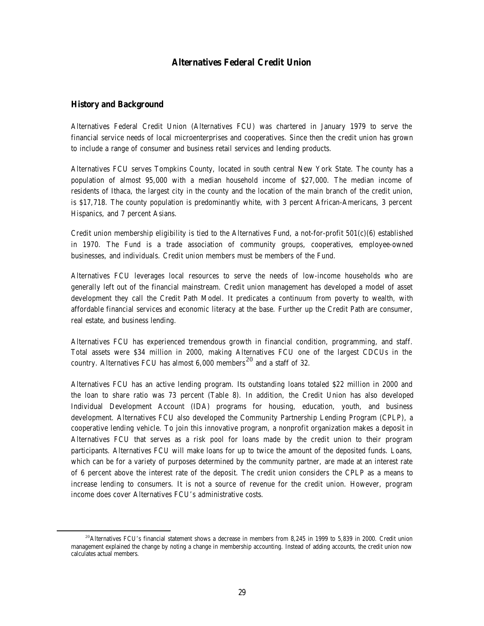#### **Alternatives Federal Credit Union**

#### **History and Background**

 $\overline{a}$ 

Alternatives Federal Credit Union (Alternatives FCU) was chartered in January 1979 to serve the financial service needs of local microenterprises and cooperatives. Since then the credit union has grown to include a range of consumer and business retail services and lending products.

Alternatives FCU serves Tompkins County, located in south central New York State. The county has a population of almost 95,000 with a median household income of \$27,000. The median income of residents of Ithaca, the largest city in the county and the location of the main branch of the credit union, is \$17,718. The county population is predominantly white, with 3 percent African-Americans, 3 percent Hispanics, and 7 percent Asians.

Credit union membership eligibility is tied to the Alternatives Fund, a not-for-profit 501(c)(6) established in 1970. The Fund is a trade association of community groups, cooperatives, employee-owned businesses, and individuals. Credit union members must be members of the Fund.

Alternatives FCU leverages local resources to serve the needs of low-income households who are generally left out of the financial mainstream. Credit union management has developed a model of asset development they call the Credit Path Model. It predicates a continuum from poverty to wealth, with affordable financial services and economic literacy at the base. Further up the Credit Path are consumer, real estate, and business lending.

Alternatives FCU has experienced tremendous growth in financial condition, programming, and staff. Total assets were \$34 million in 2000, making Alternatives FCU one of the largest CDCUs in the country. Alternatives FCU has almost  $6,000$  members<sup>20</sup> and a staff of 32.

Alternatives FCU has an active lending program. Its outstanding loans totaled \$22 million in 2000 and the loan to share ratio was 73 percent (Table 8). In addition, the Credit Union has also developed Individual Development Account (IDA) programs for housing, education, youth, and business development. Alternatives FCU also developed the Community Partnership Lending Program (CPLP), a cooperative lending vehicle. To join this innovative program, a nonprofit organization makes a deposit in Alternatives FCU that serves as a risk pool for loans made by the credit union to their program participants. Alternatives FCU will make loans for up to twice the amount of the deposited funds. Loans, which can be for a variety of purposes determined by the community partner, are made at an interest rate of 6 percent above the interest rate of the deposit. The credit union considers the CPLP as a means to increase lending to consumers. It is not a source of revenue for the credit union. However, program income does cover Alternatives FCU's administrative costs.

<sup>&</sup>lt;sup>20</sup>Alternatives FCU's financial statement shows a decrease in members from 8,245 in 1999 to 5,839 in 2000. Credit union management explained the change by noting a change in membership accounting. Instead of adding accounts, the credit union now calculates actual members.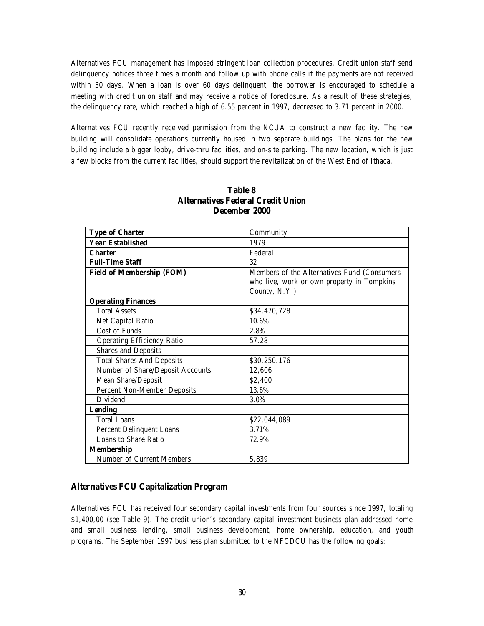Alternatives FCU management has imposed stringent loan collection procedures. Credit union staff send delinquency notices three times a month and follow up with phone calls if the payments are not received within 30 days. When a loan is over 60 days delinquent, the borrower is encouraged to schedule a meeting with credit union staff and may receive a notice of foreclosure. As a result of these strategies, the delinquency rate, which reached a high of 6.55 percent in 1997, decreased to 3.71 percent in 2000.

Alternatives FCU recently received permission from the NCUA to construct a new facility. The new building will consolidate operations currently housed in two separate buildings. The plans for the new building include a bigger lobby, drive-thru facilities, and on-site parking. The new location, which is just a few blocks from the current facilities, should support the revitalization of the West End of Ithaca.

| <b>Type of Charter</b>             | Community                                   |  |
|------------------------------------|---------------------------------------------|--|
| <b>Year Established</b>            | 1979                                        |  |
| <b>Charter</b>                     | Federal                                     |  |
| <b>Full-Time Staff</b>             | 32                                          |  |
| <b>Field of Membership (FOM)</b>   | Members of the Alternatives Fund (Consumers |  |
|                                    | who live, work or own property in Tompkins  |  |
|                                    | County, N.Y.)                               |  |
| <b>Operating Finances</b>          |                                             |  |
| <b>Total Assets</b>                | \$34,470,728                                |  |
| Net Capital Ratio                  | 10.6%                                       |  |
| <b>Cost of Funds</b>               | 2.8%                                        |  |
| <b>Operating Efficiency Ratio</b>  | 57.28                                       |  |
| <b>Shares and Deposits</b>         |                                             |  |
| <b>Total Shares And Deposits</b>   | \$30,250.176                                |  |
| Number of Share/Deposit Accounts   | 12,606                                      |  |
| <b>Mean Share/Deposit</b>          | \$2,400                                     |  |
| <b>Percent Non-Member Deposits</b> | 13.6%                                       |  |
| <b>Dividend</b>                    | 3.0%                                        |  |
| <b>Lending</b>                     |                                             |  |
| <b>Total Loans</b>                 | \$22,044,089                                |  |
| <b>Percent Delinquent Loans</b>    | 3.71%                                       |  |
| Loans to Share Ratio               | 72.9%                                       |  |
| <b>Membership</b>                  |                                             |  |
| <b>Number of Current Members</b>   | 5,839                                       |  |

#### **Table 8 Alternatives Federal Credit Union December 2000**

#### **Alternatives FCU Capitalization Program**

Alternatives FCU has received four secondary capital investments from four sources since 1997, totaling \$1,400,00 (see Table 9). The credit union's secondary capital investment business plan addressed home and small business lending, small business development, home ownership, education, and youth programs. The September 1997 business plan submitted to the NFCDCU has the following goals: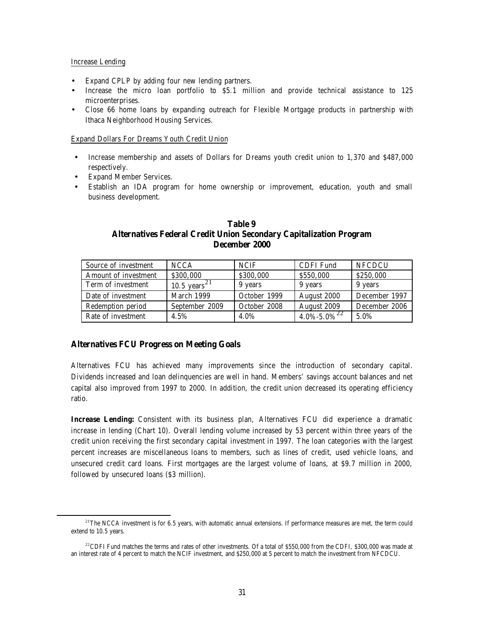#### Increase Lending

 $\overline{a}$ 

- Expand CPLP by adding four new lending partners.
- Increase the micro loan portfolio to \$5.1 million and provide technical assistance to 125 microenterprises.
- Close 66 home loans by expanding outreach for Flexible Mortgage products in partnership with Ithaca Neighborhood Housing Services.

#### Expand Dollars For Dreams Youth Credit Union

- Increase membership and assets of Dollars for Dreams youth credit union to 1,370 and \$487,000 respectively.
- Expand Member Services.
- Establish an IDA program for home ownership or improvement, education, youth and small business development.

#### **Table 9 Alternatives Federal Credit Union Secondary Capitalization Program December 2000**

| Source of investment | <b>NCCA</b>              | <b>NCIF</b>  | <b>CDFI</b> Fund          | <b>NFCDCU</b> |
|----------------------|--------------------------|--------------|---------------------------|---------------|
| Amount of investment | \$300,000                | \$300,000    | \$550,000                 | \$250,000     |
| Term of investment   | 10.5 years <sup>21</sup> | 9 years      | 9 years                   | 9 years       |
| Date of investment   | March 1999               | October 1999 | August 2000               | December 1997 |
| Redemption period    | September 2009           | October 2008 | August 2009               | December 2006 |
| Rate of investment   | 4.5%                     | 4.0%         | $4.0\%$ - $5.0\%$ $^{22}$ | 5.0%          |

#### **Alternatives FCU Progress on Meeting Goals**

Alternatives FCU has achieved many improvements since the introduction of secondary capital. Dividends increased and loan delinquencies are well in hand. Members' savings account balances and net capital also improved from 1997 to 2000. In addition, the credit union decreased its operating efficiency ratio.

**Increase Lending:** Consistent with its business plan, Alternatives FCU did experience a dramatic increase in lending (Chart 10). Overall lending volume increased by 53 percent within three years of the credit union receiving the first secondary capital investment in 1997. The loan categories with the largest percent increases are miscellaneous loans to members, such as lines of credit, used vehicle loans, and unsecured credit card loans. First mortgages are the largest volume of loans, at \$9.7 million in 2000, followed by unsecured loans (\$3 million).

 $21$ The NCCA investment is for 6.5 years, with automatic annual extensions. If performance measures are met, the term could extend to 10.5 years.

 $^{22}$ CDFI Fund matches the terms and rates of other investments. Of a total of \$550,000 from the CDFI, \$300,000 was made at an interest rate of 4 percent to match the NCIF investment, and \$250,000 at 5 percent to match the investment from NFCDCU.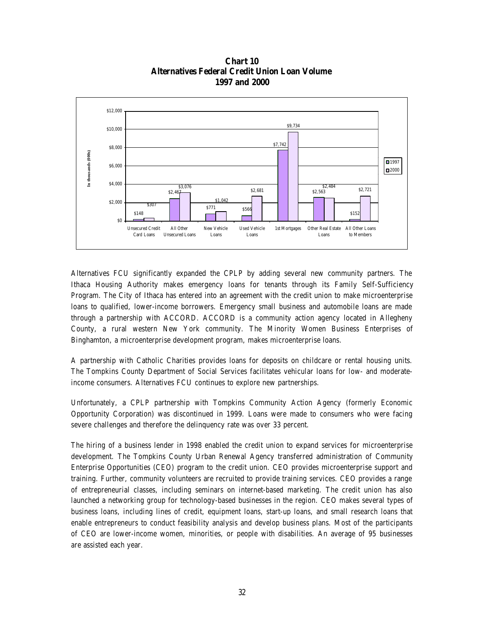

**Chart 10 Alternatives Federal Credit Union Loan Volume 1997 and 2000**

Alternatives FCU significantly expanded the CPLP by adding several new community partners. The Ithaca Housing Authority makes emergency loans for tenants through its Family Self-Sufficiency Program. The City of Ithaca has entered into an agreement with the credit union to make microenterprise loans to qualified, lower-income borrowers. Emergency small business and automobile loans are made through a partnership with ACCORD. ACCORD is a community action agency located in Allegheny County, a rural western New York community. The Minority Women Business Enterprises of Binghamton, a microenterprise development program, makes microenterprise loans.

A partnership with Catholic Charities provides loans for deposits on childcare or rental housing units. The Tompkins County Department of Social Services facilitates vehicular loans for low- and moderateincome consumers. Alternatives FCU continues to explore new partnerships.

Unfortunately, a CPLP partnership with Tompkins Community Action Agency (formerly Economic Opportunity Corporation) was discontinued in 1999. Loans were made to consumers who were facing severe challenges and therefore the delinquency rate was over 33 percent.

The hiring of a business lender in 1998 enabled the credit union to expand services for microenterprise development. The Tompkins County Urban Renewal Agency transferred administration of Community Enterprise Opportunities (CEO) program to the credit union. CEO provides microenterprise support and training. Further, community volunteers are recruited to provide training services. CEO provides a range of entrepreneurial classes, including seminars on internet-based marketing. The credit union has also launched a networking group for technology-based businesses in the region. CEO makes several types of business loans, including lines of credit, equipment loans, start-up loans, and small research loans that enable entrepreneurs to conduct feasibility analysis and develop business plans. Most of the participants of CEO are lower-income women, minorities, or people with disabilities. An average of 95 businesses are assisted each year.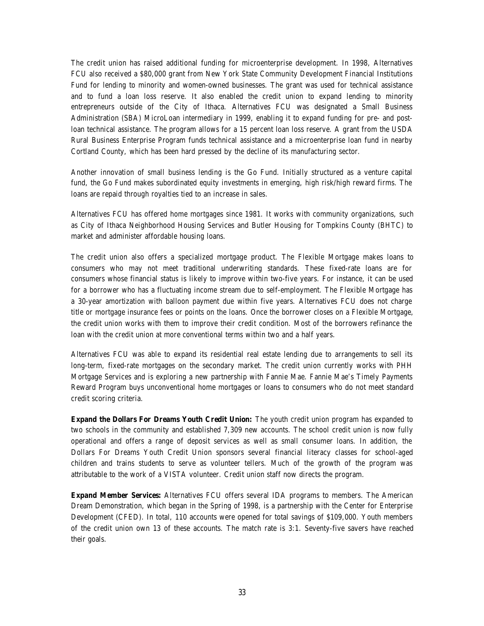The credit union has raised additional funding for microenterprise development. In 1998, Alternatives FCU also received a \$80,000 grant from New York State Community Development Financial Institutions Fund for lending to minority and women-owned businesses. The grant was used for technical assistance and to fund a loan loss reserve. It also enabled the credit union to expand lending to minority entrepreneurs outside of the City of Ithaca. Alternatives FCU was designated a Small Business Administration (SBA) MicroLoan intermediary in 1999, enabling it to expand funding for pre- and postloan technical assistance. The program allows for a 15 percent loan loss reserve. A grant from the USDA Rural Business Enterprise Program funds technical assistance and a microenterprise loan fund in nearby Cortland County, which has been hard pressed by the decline of its manufacturing sector.

Another innovation of small business lending is the Go Fund. Initially structured as a venture capital fund, the Go Fund makes subordinated equity investments in emerging, high risk/high reward firms. The loans are repaid through royalties tied to an increase in sales.

Alternatives FCU has offered home mortgages since 1981. It works with community organizations, such as City of Ithaca Neighborhood Housing Services and Butler Housing for Tompkins County (BHTC) to market and administer affordable housing loans.

The credit union also offers a specialized mortgage product. The Flexible Mortgage makes loans to consumers who may not meet traditional underwriting standards. These fixed-rate loans are for consumers whose financial status is likely to improve within two-five years. For instance, it can be used for a borrower who has a fluctuating income stream due to self-employment. The Flexible Mortgage has a 30-year amortization with balloon payment due within five years. Alternatives FCU does not charge title or mortgage insurance fees or points on the loans. Once the borrower closes on a Flexible Mortgage, the credit union works with them to improve their credit condition. Most of the borrowers refinance the loan with the credit union at more conventional terms within two and a half years.

Alternatives FCU was able to expand its residential real estate lending due to arrangements to sell its long-term, fixed-rate mortgages on the secondary market. The credit union currently works with PHH Mortgage Services and is exploring a new partnership with Fannie Mae. Fannie Mae's Timely Payments Reward Program buys unconventional home mortgages or loans to consumers who do not meet standard credit scoring criteria.

**Expand the Dollars For Dreams Youth Credit Union:** The youth credit union program has expanded to two schools in the community and established 7,309 new accounts. The school credit union is now fully operational and offers a range of deposit services as well as small consumer loans. In addition, the Dollars For Dreams Youth Credit Union sponsors several financial literacy classes for school-aged children and trains students to serve as volunteer tellers. Much of the growth of the program was attributable to the work of a VISTA volunteer. Credit union staff now directs the program.

**Expand Member Services:** Alternatives FCU offers several IDA programs to members. The American Dream Demonstration, which began in the Spring of 1998, is a partnership with the Center for Enterprise Development (CFED). In total, 110 accounts were opened for total savings of \$109,000. Youth members of the credit union own 13 of these accounts. The match rate is 3:1. Seventy-five savers have reached their goals.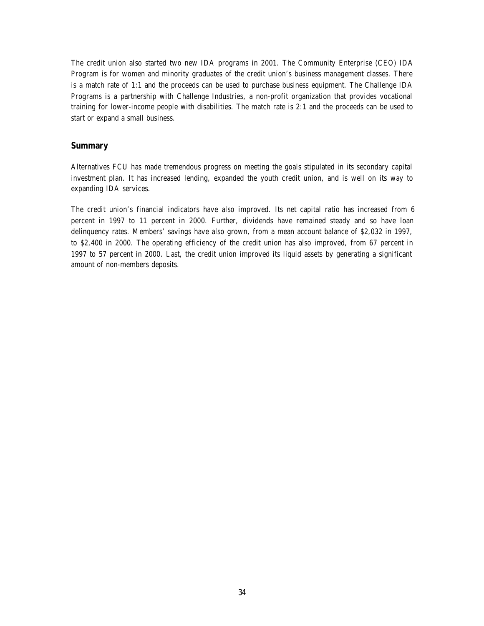The credit union also started two new IDA programs in 2001. The Community Enterprise (CEO) IDA Program is for women and minority graduates of the credit union's business management classes. There is a match rate of 1:1 and the proceeds can be used to purchase business equipment. The Challenge IDA Programs is a partnership with Challenge Industries, a non-profit organization that provides vocational training for lower-income people with disabilities. The match rate is 2:1 and the proceeds can be used to start or expand a small business.

#### **Summary**

Alternatives FCU has made tremendous progress on meeting the goals stipulated in its secondary capital investment plan. It has increased lending, expanded the youth credit union, and is well on its way to expanding IDA services.

The credit union's financial indicators have also improved. Its net capital ratio has increased from 6 percent in 1997 to 11 percent in 2000. Further, dividends have remained steady and so have loan delinquency rates. Members' savings have also grown, from a mean account balance of \$2,032 in 1997, to \$2,400 in 2000. The operating efficiency of the credit union has also improved, from 67 percent in 1997 to 57 percent in 2000. Last, the credit union improved its liquid assets by generating a significant amount of non-members deposits.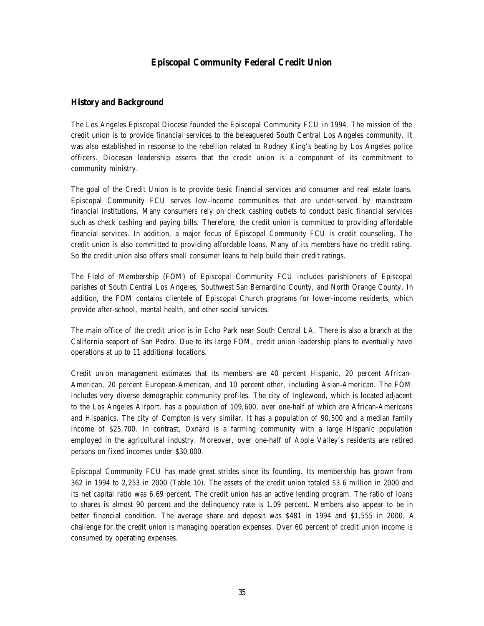# **Episcopal Community Federal Credit Union**

#### **History and Background**

The Los Angeles Episcopal Diocese founded the Episcopal Community FCU in 1994. The mission of the credit union is to provide financial services to the beleaguered South Central Los Angeles community. It was also established in response to the rebellion related to Rodney King's beating by Los Angeles police officers. Diocesan leadership asserts that the credit union is a component of its commitment to community ministry.

The goal of the Credit Union is to provide basic financial services and consumer and real estate loans. Episcopal Community FCU serves low-income communities that are under-served by mainstream financial institutions. Many consumers rely on check cashing outlets to conduct basic financial services such as check cashing and paying bills. Therefore, the credit union is committed to providing affordable financial services. In addition, a major focus of Episcopal Community FCU is credit counseling. The credit union is also committed to providing affordable loans. Many of its members have no credit rating. So the credit union also offers small consumer loans to help build their credit ratings.

The Field of Membership (FOM) of Episcopal Community FCU includes parishioners of Episcopal parishes of South Central Los Angeles, Southwest San Bernardino County, and North Orange County. In addition, the FOM contains clientele of Episcopal Church programs for lower-income residents, which provide after-school, mental health, and other social services.

The main office of the credit union is in Echo Park near South Central LA. There is also a branch at the California seaport of San Pedro. Due to its large FOM, credit union leadership plans to eventually have operations at up to 11 additional locations.

Credit union management estimates that its members are 40 percent Hispanic, 20 percent African-American, 20 percent European-American, and 10 percent other, including Asian-American. The FOM includes very diverse demographic community profiles. The city of Inglewood, which is located adjacent to the Los Angeles Airport, has a population of 109,600, over one-half of which are African-Americans and Hispanics. The city of Compton is very similar. It has a population of 90,500 and a median family income of \$25,700. In contrast, Oxnard is a farming community with a large Hispanic population employed in the agricultural industry. Moreover, over one-half of Apple Valley's residents are retired persons on fixed incomes under \$30,000.

Episcopal Community FCU has made great strides since its founding. Its membership has grown from 362 in 1994 to 2,253 in 2000 (Table 10). The assets of the credit union totaled \$3.6 million in 2000 and its net capital ratio was 6.69 percent. The credit union has an active lending program. The ratio of loans to shares is almost 90 percent and the delinquency rate is 1.09 percent. Members also appear to be in better financial condition. The average share and deposit was \$481 in 1994 and \$1,555 in 2000. A challenge for the credit union is managing operation expenses. Over 60 percent of credit union income is consumed by operating expenses.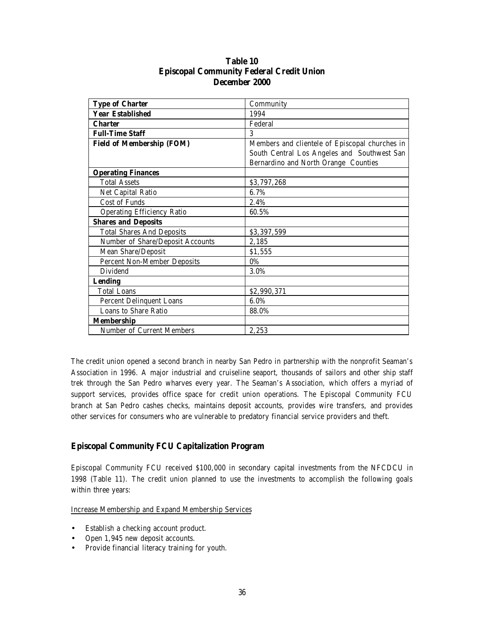| <b>Type of Charter</b>             | Community                                      |
|------------------------------------|------------------------------------------------|
| <b>Year Established</b>            | 1994                                           |
| <b>Charter</b>                     | Federal                                        |
| <b>Full-Time Staff</b>             | 3                                              |
| <b>Field of Membership (FOM)</b>   | Members and clientele of Episcopal churches in |
|                                    | South Central Los Angeles and Southwest San    |
|                                    | Bernardino and North Orange Counties           |
| <b>Operating Finances</b>          |                                                |
| <b>Total Assets</b>                | \$3,797,268                                    |
| Net Capital Ratio                  | 6.7%                                           |
| <b>Cost of Funds</b>               | 2.4%                                           |
| <b>Operating Efficiency Ratio</b>  | 60.5%                                          |
| <b>Shares and Deposits</b>         |                                                |
| <b>Total Shares And Deposits</b>   | \$3,397,599                                    |
| Number of Share/Deposit Accounts   | 2,185                                          |
| Mean Share/Deposit                 | \$1,555                                        |
| <b>Percent Non-Member Deposits</b> | $0\%$                                          |
| <b>Dividend</b>                    | 3.0%                                           |
| <b>Lending</b>                     |                                                |
| <b>Total Loans</b>                 | \$2,990,371                                    |
| <b>Percent Delinquent Loans</b>    | 6.0%                                           |
| Loans to Share Ratio               | 88.0%                                          |
| <b>Membership</b>                  |                                                |
| Number of Current Members          | 2,253                                          |

# **Table 10 Episcopal Community Federal Credit Union December 2000**

The credit union opened a second branch in nearby San Pedro in partnership with the nonprofit Seaman's Association in 1996. A major industrial and cruiseline seaport, thousands of sailors and other ship staff trek through the San Pedro wharves every year. The Seaman's Association, which offers a myriad of support services, provides office space for credit union operations. The Episcopal Community FCU branch at San Pedro cashes checks, maintains deposit accounts, provides wire transfers, and provides other services for consumers who are vulnerable to predatory financial service providers and theft.

#### **Episcopal Community FCU Capitalization Program**

Episcopal Community FCU received \$100,000 in secondary capital investments from the NFCDCU in 1998 (Table 11). The credit union planned to use the investments to accomplish the following goals within three years:

Increase Membership and Expand Membership Services

- Establish a checking account product.
- Open 1,945 new deposit accounts.
- Provide financial literacy training for youth.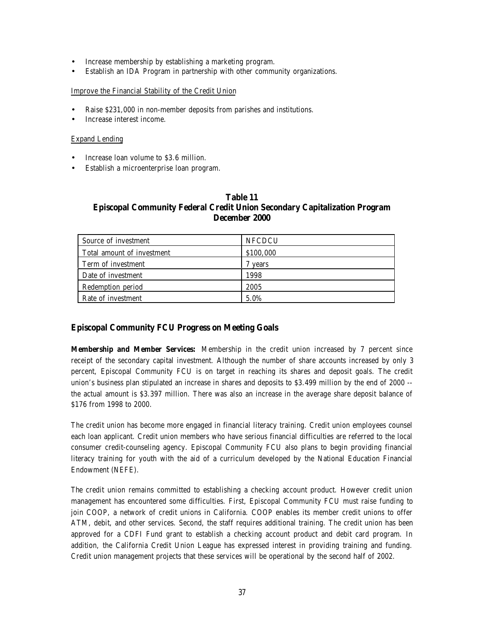- Increase membership by establishing a marketing program.
- Establish an IDA Program in partnership with other community organizations.

#### Improve the Financial Stability of the Credit Union

- Raise \$231,000 in non-member deposits from parishes and institutions.
- Increase interest income.

#### Expand Lending

- Increase loan volume to \$3.6 million.
- Establish a microenterprise loan program.

#### **Table 11 Episcopal Community Federal Credit Union Secondary Capitalization Program December 2000**

| Source of investment       | <b>NFCDCU</b> |
|----------------------------|---------------|
| Total amount of investment | \$100,000     |
| Term of investment         | 7 years       |
| Date of investment         | 1998          |
| Redemption period          | 2005          |
| Rate of investment         | 5.0%          |

# **Episcopal Community FCU Progress on Meeting Goals**

**Membership and Member Services:** Membership in the credit union increased by 7 percent since receipt of the secondary capital investment. Although the number of share accounts increased by only 3 percent, Episcopal Community FCU is on target in reaching its shares and deposit goals. The credit union's business plan stipulated an increase in shares and deposits to \$3.499 million by the end of 2000 - the actual amount is \$3.397 million. There was also an increase in the average share deposit balance of \$176 from 1998 to 2000.

The credit union has become more engaged in financial literacy training. Credit union employees counsel each loan applicant. Credit union members who have serious financial difficulties are referred to the local consumer credit-counseling agency. Episcopal Community FCU also plans to begin providing financial literacy training for youth with the aid of a curriculum developed by the National Education Financial Endowment (NEFE).

The credit union remains committed to establishing a checking account product. However credit union management has encountered some difficulties. First, Episcopal Community FCU must raise funding to join COOP, a network of credit unions in California. COOP enables its member credit unions to offer ATM, debit, and other services. Second, the staff requires additional training. The credit union has been approved for a CDFI Fund grant to establish a checking account product and debit card program. In addition, the California Credit Union League has expressed interest in providing training and funding. Credit union management projects that these services will be operational by the second half of 2002.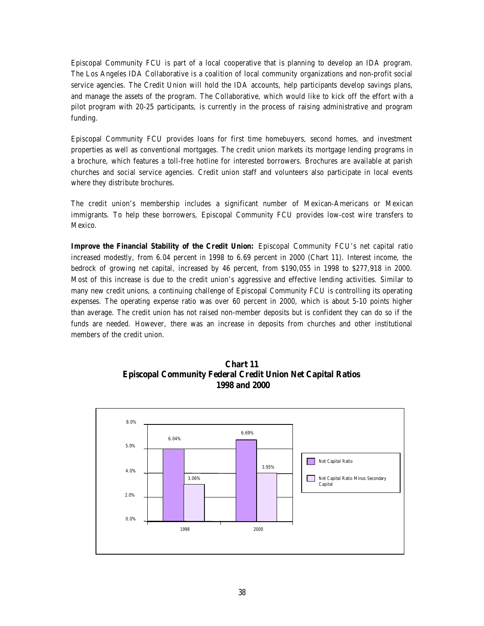Episcopal Community FCU is part of a local cooperative that is planning to develop an IDA program. The Los Angeles IDA Collaborative is a coalition of local community organizations and non-profit social service agencies. The Credit Union will hold the IDA accounts, help participants develop savings plans, and manage the assets of the program. The Collaborative, which would like to kick off the effort with a pilot program with 20-25 participants, is currently in the process of raising administrative and program funding.

Episcopal Community FCU provides loans for first time homebuyers, second homes, and investment properties as well as conventional mortgages. The credit union markets its mortgage lending programs in a brochure, which features a toll-free hotline for interested borrowers. Brochures are available at parish churches and social service agencies. Credit union staff and volunteers also participate in local events where they distribute brochures.

The credit union's membership includes a significant number of Mexican-Americans or Mexican immigrants. To help these borrowers, Episcopal Community FCU provides low-cost wire transfers to Mexico.

**Improve the Financial Stability of the Credit Union:** Episcopal Community FCU's net capital ratio increased modestly, from 6.04 percent in 1998 to 6.69 percent in 2000 (Chart 11). Interest income, the bedrock of growing net capital, increased by 46 percent, from \$190,055 in 1998 to \$277,918 in 2000. Most of this increase is due to the credit union's aggressive and effective lending activities. Similar to many new credit unions, a continuing challenge of Episcopal Community FCU is controlling its operating expenses. The operating expense ratio was over 60 percent in 2000, which is about 5-10 points higher than average. The credit union has not raised non-member deposits but is confident they can do so if the funds are needed. However, there was an increase in deposits from churches and other institutional members of the credit union.



**Chart 11 Episcopal Community Federal Credit Union Net Capital Ratios 1998 and 2000**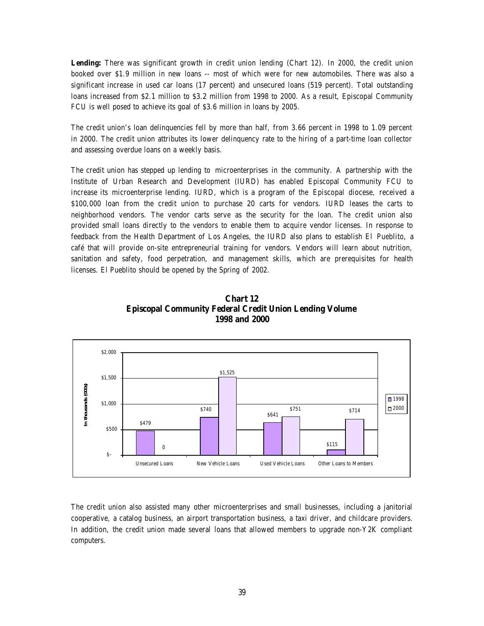Lending: There was significant growth in credit union lending (Chart 12). In 2000, the credit union booked over \$1.9 million in new loans -- most of which were for new automobiles. There was also a significant increase in used car loans (17 percent) and unsecured loans (519 percent). Total outstanding loans increased from \$2.1 million to \$3.2 million from 1998 to 2000. As a result, Episcopal Community FCU is well posed to achieve its goal of \$3.6 million in loans by 2005.

The credit union's loan delinquencies fell by more than half, from 3.66 percent in 1998 to 1.09 percent in 2000. The credit union attributes its lower delinquency rate to the hiring of a part-time loan collector and assessing overdue loans on a weekly basis.

The credit union has stepped up lending to microenterprises in the community. A partnership with the Institute of Urban Research and Development (IURD) has enabled Episcopal Community FCU to increase its microenterprise lending. IURD, which is a program of the Episcopal diocese, received a \$100,000 loan from the credit union to purchase 20 carts for vendors. IURD leases the carts to neighborhood vendors. The vendor carts serve as the security for the loan. The credit union also provided small loans directly to the vendors to enable them to acquire vendor licenses. In response to feedback from the Health Department of Los Angeles, the IURD also plans to establish El Pueblito, a café that will provide on-site entrepreneurial training for vendors. Vendors will learn about nutrition, sanitation and safety, food perpetration, and management skills, which are prerequisites for health licenses. El Pueblito should be opened by the Spring of 2002.



**Chart 12 Episcopal Community Federal Credit Union Lending Volume 1998 and 2000**

The credit union also assisted many other microenterprises and small businesses, including a janitorial cooperative, a catalog business, an airport transportation business, a taxi driver, and childcare providers. In addition, the credit union made several loans that allowed members to upgrade non-Y2K compliant computers.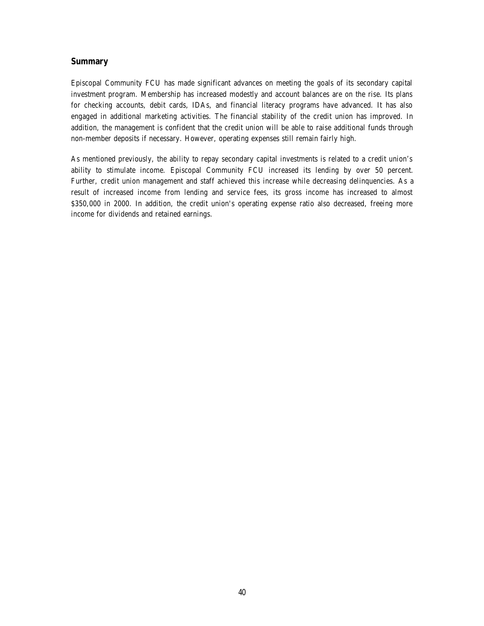#### **Summary**

Episcopal Community FCU has made significant advances on meeting the goals of its secondary capital investment program. Membership has increased modestly and account balances are on the rise. Its plans for checking accounts, debit cards, IDAs, and financial literacy programs have advanced. It has also engaged in additional marketing activities. The financial stability of the credit union has improved. In addition, the management is confident that the credit union will be able to raise additional funds through non-member deposits if necessary. However, operating expenses still remain fairly high.

As mentioned previously, the ability to repay secondary capital investments is related to a credit union's ability to stimulate income. Episcopal Community FCU increased its lending by over 50 percent. Further, credit union management and staff achieved this increase while decreasing delinquencies. As a result of increased income from lending and service fees, its gross income has increased to almost \$350,000 in 2000. In addition, the credit union's operating expense ratio also decreased, freeing more income for dividends and retained earnings.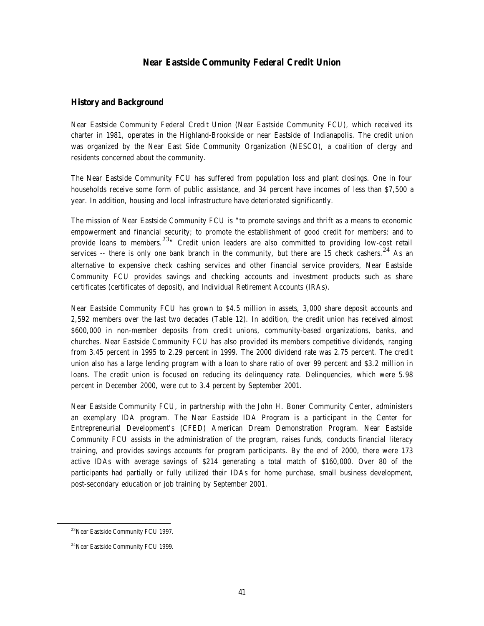#### **Near Eastside Community Federal Credit Union**

#### **History and Background**

Near Eastside Community Federal Credit Union (Near Eastside Community FCU), which received its charter in 1981, operates in the Highland-Brookside or near Eastside of Indianapolis. The credit union was organized by the Near East Side Community Organization (NESCO), a coalition of clergy and residents concerned about the community.

The Near Eastside Community FCU has suffered from population loss and plant closings. One in four households receive some form of public assistance, and 34 percent have incomes of less than \$7,500 a year. In addition, housing and local infrastructure have deteriorated significantly.

The mission of Near Eastside Community FCU is "to promote savings and thrift as a means to economic empowerment and financial security; to promote the establishment of good credit for members; and to provide loans to members.<sup>23</sup><sup>"</sup> Credit union leaders are also committed to providing low-cost retail services -- there is only one bank branch in the community, but there are 15 check cashers.<sup>24</sup> As an alternative to expensive check cashing services and other financial service providers, Near Eastside Community FCU provides savings and checking accounts and investment products such as share certificates (certificates of deposit), and Individual Retirement Accounts (IRAs).

Near Eastside Community FCU has grown to \$4.5 million in assets, 3,000 share deposit accounts and 2,592 members over the last two decades (Table 12). In addition, the credit union has received almost \$600,000 in non-member deposits from credit unions, community-based organizations, banks, and churches. Near Eastside Community FCU has also provided its members competitive dividends, ranging from 3.45 percent in 1995 to 2.29 percent in 1999. The 2000 dividend rate was 2.75 percent. The credit union also has a large lending program with a loan to share ratio of over 99 percent and \$3.2 million in loans. The credit union is focused on reducing its delinquency rate. Delinquencies, which were 5.98 percent in December 2000, were cut to 3.4 percent by September 2001.

Near Eastside Community FCU, in partnership with the John H. Boner Community Center, administers an exemplary IDA program. The Near Eastside IDA Program is a participant in the Center for Entrepreneurial Development's (CFED) American Dream Demonstration Program. Near Eastside Community FCU assists in the administration of the program, raises funds, conducts financial literacy training, and provides savings accounts for program participants. By the end of 2000, there were 173 active IDAs with average savings of \$214 generating a total match of \$160,000. Over 80 of the participants had partially or fully utilized their IDAs for home purchase, small business development, post-secondary education or job training by September 2001.

 $\overline{a}$ 

<sup>23</sup>Near Eastside Community FCU 1997.

<sup>&</sup>lt;sup>24</sup>Near Eastside Community FCU 1999.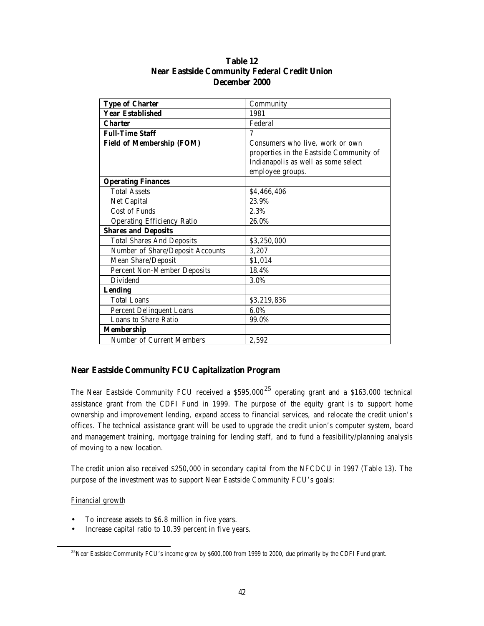| <b>Type of Charter</b>             | Community                               |
|------------------------------------|-----------------------------------------|
| <b>Year Established</b>            | 1981                                    |
| <b>Charter</b>                     | Federal                                 |
| <b>Full-Time Staff</b>             | 7                                       |
| <b>Field of Membership (FOM)</b>   | Consumers who live, work or own         |
|                                    | properties in the Eastside Community of |
|                                    | Indianapolis as well as some select     |
|                                    | employee groups.                        |
| <b>Operating Finances</b>          |                                         |
| <b>Total Assets</b>                | \$4,466,406                             |
| Net Capital                        | 23.9%                                   |
| <b>Cost of Funds</b>               | 2.3%                                    |
| <b>Operating Efficiency Ratio</b>  | 26.0%                                   |
| <b>Shares and Deposits</b>         |                                         |
| <b>Total Shares And Deposits</b>   | \$3,250,000                             |
| Number of Share/Deposit Accounts   | 3,207                                   |
| Mean Share/Deposit                 | \$1,014                                 |
| <b>Percent Non-Member Deposits</b> | 18.4%                                   |
| Dividend                           | 3.0%                                    |
| <b>Lending</b>                     |                                         |
| <b>Total Loans</b>                 | \$3,219,836                             |
| <b>Percent Delinquent Loans</b>    | 6.0%                                    |
| Loans to Share Ratio               | 99.0%                                   |
| <b>Membership</b>                  |                                         |
| Number of Current Members          | 2,592                                   |

# **Table 12 Near Eastside Community Federal Credit Union December 2000**

#### **Near Eastside Community FCU Capitalization Program**

The Near Eastside Community FCU received a  $$595,000^{25}$  operating grant and a \$163,000 technical assistance grant from the CDFI Fund in 1999. The purpose of the equity grant is to support home ownership and improvement lending, expand access to financial services, and relocate the credit union's offices. The technical assistance grant will be used to upgrade the credit union's computer system, board and management training, mortgage training for lending staff, and to fund a feasibility/planning analysis of moving to a new location.

The credit union also received \$250,000 in secondary capital from the NFCDCU in 1997 (Table 13). The purpose of the investment was to support Near Eastside Community FCU's goals:

Financial growth

 $\overline{a}$ 

- To increase assets to \$6.8 million in five years.
- Increase capital ratio to 10.39 percent in five years.

<sup>&</sup>lt;sup>25</sup>Near Eastside Community FCU's income grew by \$600,000 from 1999 to 2000, due primarily by the CDFI Fund grant.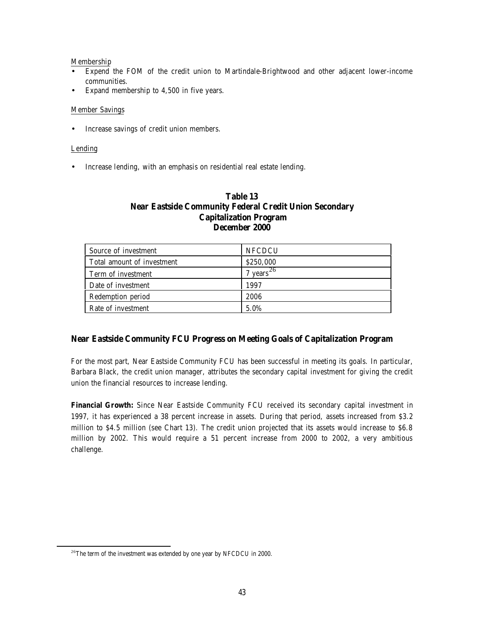#### Membership

- Expend the FOM of the credit union to Martindale-Brightwood and other adjacent lower-income communities.
- Expand membership to 4,500 in five years.

#### Member Savings

• Increase savings of credit union members.

#### Lending

 $\overline{a}$ 

• Increase lending, with an emphasis on residential real estate lending.

### **Table 13 Near Eastside Community Federal Credit Union Secondary Capitalization Program December 2000**

| Source of investment       | <b>NFCDCU</b>          |
|----------------------------|------------------------|
| Total amount of investment | \$250,000              |
| Term of investment         | $4 \text{ years}^{26}$ |
| Date of investment         | 1997                   |
| Redemption period          | 2006                   |
| Rate of investment         | 5.0%                   |

# **Near Eastside Community FCU Progress on Meeting Goals of Capitalization Program**

For the most part, Near Eastside Community FCU has been successful in meeting its goals. In particular, Barbara Black, the credit union manager, attributes the secondary capital investment for giving the credit union the financial resources to increase lending.

**Financial Growth:** Since Near Eastside Community FCU received its secondary capital investment in 1997, it has experienced a 38 percent increase in assets. During that period, assets increased from \$3.2 million to \$4.5 million (see Chart 13). The credit union projected that its assets would increase to \$6.8 million by 2002. This would require a 51 percent increase from 2000 to 2002, a very ambitious challenge.

 $^{26}\mathrm{The}$  term of the investment was extended by one year by NFCDCU in 2000.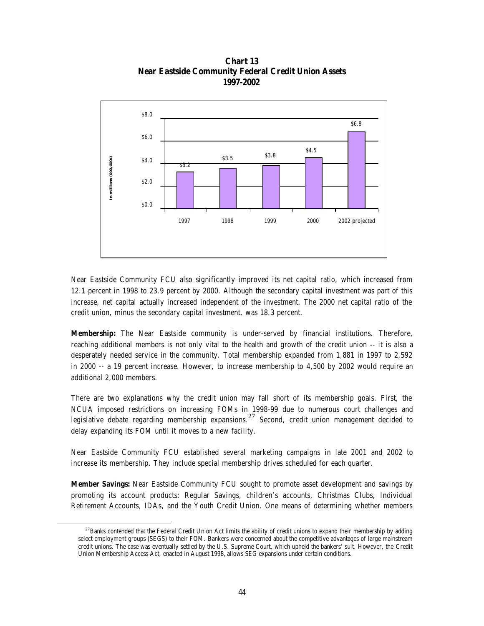

**Chart 13 Near Eastside Community Federal Credit Union Assets 1997-2002**

Near Eastside Community FCU also significantly improved its net capital ratio, which increased from 12.1 percent in 1998 to 23.9 percent by 2000. Although the secondary capital investment was part of this increase, net capital actually increased independent of the investment. The 2000 net capital ratio of the credit union, minus the secondary capital investment, was 18.3 percent.

**Membership:** The Near Eastside community is under-served by financial institutions. Therefore, reaching additional members is not only vital to the health and growth of the credit union -- it is also a desperately needed service in the community. Total membership expanded from 1,881 in 1997 to 2,592 in 2000 -- a 19 percent increase. However, to increase membership to 4,500 by 2002 would require an additional 2,000 members.

There are two explanations why the credit union may fall short of its membership goals. First, the NCUA imposed restrictions on increasing FOMs in 1998-99 due to numerous court challenges and legislative debate regarding membership expansions.<sup>27</sup> Second, credit union management decided to delay expanding its FOM until it moves to a new facility.

Near Eastside Community FCU established several marketing campaigns in late 2001 and 2002 to increase its membership. They include special membership drives scheduled for each quarter.

**Member Savings:** Near Eastside Community FCU sought to promote asset development and savings by promoting its account products: Regular Savings, children's accounts, Christmas Clubs, Individual Retirement Accounts, IDAs, and the Youth Credit Union. One means of determining whether members

 $\overline{a}$ 

 $27$ Banks contended that the Federal Credit Union Act limits the ability of credit unions to expand their membership by adding select employment groups (SEGS) to their FOM. Bankers were concerned about the competitive advantages of large mainstream credit unions. The case was eventually settled by the U.S. Supreme Court, which upheld the bankers' suit. However, the Credit Union Membership Access Act, enacted in August 1998, allows SEG expansions under certain conditions.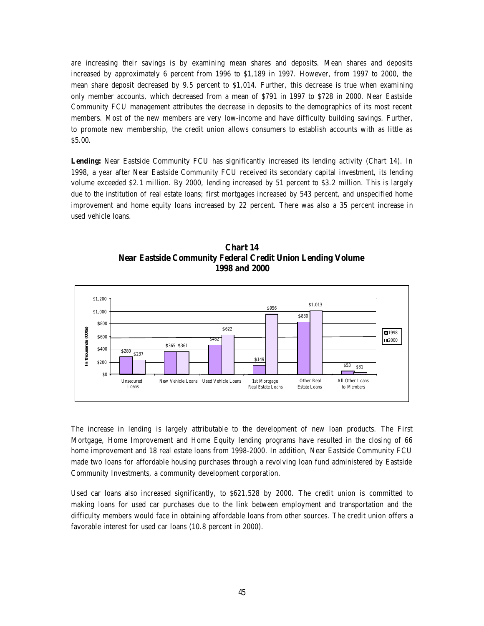are increasing their savings is by examining mean shares and deposits. Mean shares and deposits increased by approximately 6 percent from 1996 to \$1,189 in 1997. However, from 1997 to 2000, the mean share deposit decreased by 9.5 percent to \$1,014. Further, this decrease is true when examining only member accounts, which decreased from a mean of \$791 in 1997 to \$728 in 2000. Near Eastside Community FCU management attributes the decrease in deposits to the demographics of its most recent members. Most of the new members are very low-income and have difficulty building savings. Further, to promote new membership, the credit union allows consumers to establish accounts with as little as \$5.00.

Lending: Near Eastside Community FCU has significantly increased its lending activity (Chart 14). In 1998, a year after Near Eastside Community FCU received its secondary capital investment, its lending volume exceeded \$2.1 million. By 2000, lending increased by 51 percent to \$3.2 million. This is largely due to the institution of real estate loans; first mortgages increased by 543 percent, and unspecified home improvement and home equity loans increased by 22 percent. There was also a 35 percent increase in used vehicle loans.



**Chart 14 Near Eastside Community Federal Credit Union Lending Volume 1998 and 2000**

The increase in lending is largely attributable to the development of new loan products. The First Mortgage, Home Improvement and Home Equity lending programs have resulted in the closing of 66 home improvement and 18 real estate loans from 1998-2000. In addition, Near Eastside Community FCU made two loans for affordable housing purchases through a revolving loan fund administered by Eastside Community Investments, a community development corporation.

Used car loans also increased significantly, to \$621,528 by 2000. The credit union is committed to making loans for used car purchases due to the link between employment and transportation and the difficulty members would face in obtaining affordable loans from other sources. The credit union offers a favorable interest for used car loans (10.8 percent in 2000).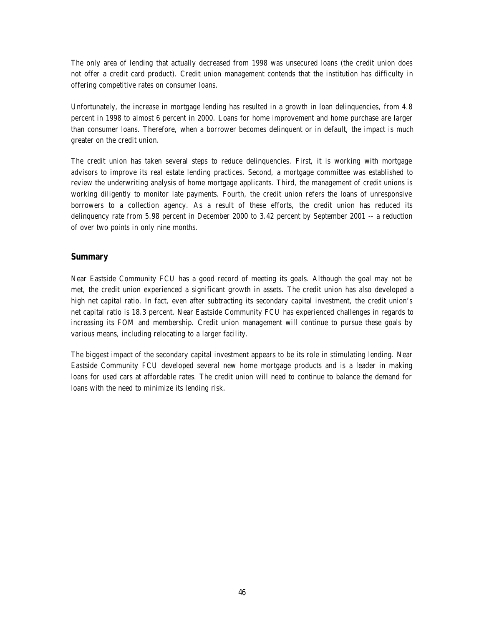The only area of lending that actually decreased from 1998 was unsecured loans (the credit union does not offer a credit card product). Credit union management contends that the institution has difficulty in offering competitive rates on consumer loans.

Unfortunately, the increase in mortgage lending has resulted in a growth in loan delinquencies, from 4.8 percent in 1998 to almost 6 percent in 2000. Loans for home improvement and home purchase are larger than consumer loans. Therefore, when a borrower becomes delinquent or in default, the impact is much greater on the credit union.

The credit union has taken several steps to reduce delinquencies. First, it is working with mortgage advisors to improve its real estate lending practices. Second, a mortgage committee was established to review the underwriting analysis of home mortgage applicants. Third, the management of credit unions is working diligently to monitor late payments. Fourth, the credit union refers the loans of unresponsive borrowers to a collection agency. As a result of these efforts, the credit union has reduced its delinquency rate from 5.98 percent in December 2000 to 3.42 percent by September 2001 -- a reduction of over two points in only nine months.

#### **Summary**

Near Eastside Community FCU has a good record of meeting its goals. Although the goal may not be met, the credit union experienced a significant growth in assets. The credit union has also developed a high net capital ratio. In fact, even after subtracting its secondary capital investment, the credit union's net capital ratio is 18.3 percent. Near Eastside Community FCU has experienced challenges in regards to increasing its FOM and membership. Credit union management will continue to pursue these goals by various means, including relocating to a larger facility.

The biggest impact of the secondary capital investment appears to be its role in stimulating lending. Near Eastside Community FCU developed several new home mortgage products and is a leader in making loans for used cars at affordable rates. The credit union will need to continue to balance the demand for loans with the need to minimize its lending risk.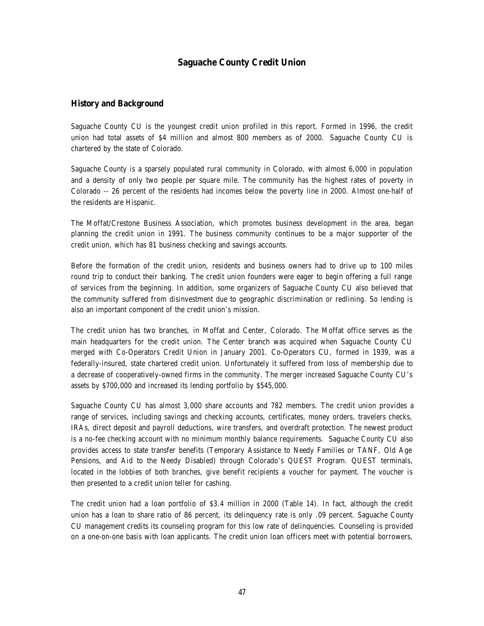# **Saguache County Credit Union**

#### **History and Background**

Saguache County CU is the youngest credit union profiled in this report. Formed in 1996, the credit union had total assets of \$4 million and almost 800 members as of 2000. Saguache County CU is chartered by the state of Colorado.

Saguache County is a sparsely populated rural community in Colorado, with almost 6,000 in population and a density of only two people per square mile. The community has the highest rates of poverty in Colorado -- 26 percent of the residents had incomes below the poverty line in 2000. Almost one-half of the residents are Hispanic.

The Moffat/Crestone Business Association, which promotes business development in the area, began planning the credit union in 1991. The business community continues to be a major supporter of the credit union, which has 81 business checking and savings accounts.

Before the formation of the credit union, residents and business owners had to drive up to 100 miles round trip to conduct their banking. The credit union founders were eager to begin offering a full range of services from the beginning. In addition, some organizers of Saguache County CU also believed that the community suffered from disinvestment due to geographic discrimination or redlining. So lending is also an important component of the credit union's mission.

The credit union has two branches, in Moffat and Center, Colorado. The Moffat office serves as the main headquarters for the credit union. The Center branch was acquired when Saguache County CU merged with Co-Operators Credit Union in January 2001. Co-Operators CU, formed in 1939, was a federally-insured, state chartered credit union. Unfortunately it suffered from loss of membership due to a decrease of cooperatively-owned firms in the community. The merger increased Saguache County CU's assets by \$700,000 and increased its lending portfolio by \$545,000.

Saguache County CU has almost 3,000 share accounts and 782 members. The credit union provides a range of services, including savings and checking accounts, certificates, money orders, travelers checks, IRAs, direct deposit and payroll deductions, wire transfers, and overdraft protection. The newest product is a no-fee checking account with no minimum monthly balance requirements. Saguache County CU also provides access to state transfer benefits (Temporary Assistance to Needy Families or TANF, Old Age Pensions, and Aid to the Needy Disabled) through Colorado's QUEST Program. QUEST terminals, located in the lobbies of both branches, give benefit recipients a voucher for payment. The voucher is then presented to a credit union teller for cashing.

The credit union had a loan portfolio of \$3.4 million in 2000 (Table 14). In fact, although the credit union has a loan to share ratio of 86 percent, its delinquency rate is only .09 percent. Saguache County CU management credits its counseling program for this low rate of delinquencies. Counseling is provided on a one-on-one basis with loan applicants. The credit union loan officers meet with potential borrowers,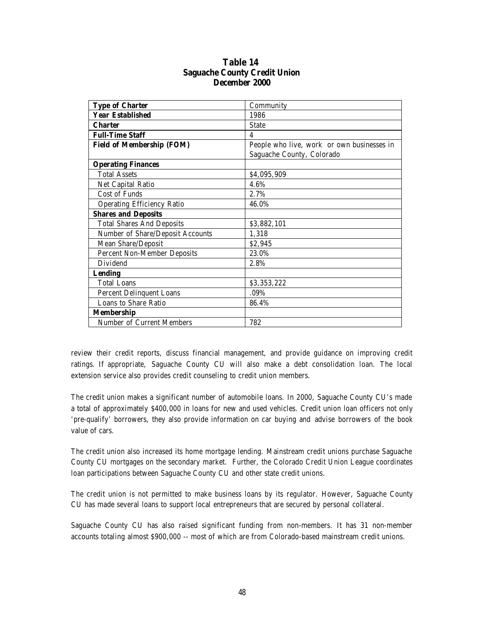| <b>Type of Charter</b>             | Community                                  |
|------------------------------------|--------------------------------------------|
| <b>Year Established</b>            | 1986                                       |
| <b>Charter</b>                     | <b>State</b>                               |
| <b>Full-Time Staff</b>             | 4                                          |
| <b>Field of Membership (FOM)</b>   | People who live, work or own businesses in |
|                                    | Saguache County, Colorado                  |
| <b>Operating Finances</b>          |                                            |
| <b>Total Assets</b>                | \$4,095,909                                |
| Net Capital Ratio                  | 4.6%                                       |
| Cost of Funds                      | 2.7%                                       |
| <b>Operating Efficiency Ratio</b>  | 46.0%                                      |
| <b>Shares and Deposits</b>         |                                            |
| <b>Total Shares And Deposits</b>   | \$3,882,101                                |
| Number of Share/Deposit Accounts   | 1,318                                      |
| Mean Share/Deposit                 | \$2,945                                    |
| <b>Percent Non-Member Deposits</b> | 23.0%                                      |
| <b>Dividend</b>                    | 2.8%                                       |
| <b>Lending</b>                     |                                            |
| <b>Total Loans</b>                 | \$3,353,222                                |
| <b>Percent Delinquent Loans</b>    | .09%                                       |
| <b>Loans to Share Ratio</b>        | 86.4%                                      |
| <b>Membership</b>                  |                                            |
| <b>Number of Current Members</b>   | 782                                        |

#### **Table 14 Saguache County Credit Union December 2000**

review their credit reports, discuss financial management, and provide guidance on improving credit ratings. If appropriate, Saguache County CU will also make a debt consolidation loan. The local extension service also provides credit counseling to credit union members.

The credit union makes a significant number of automobile loans. In 2000, Saguache County CU's made a total of approximately \$400,000 in loans for new and used vehicles. Credit union loan officers not only 'pre-qualify' borrowers, they also provide information on car buying and advise borrowers of the book value of cars.

The credit union also increased its home mortgage lending. Mainstream credit unions purchase Saguache County CU mortgages on the secondary market. Further, the Colorado Credit Union League coordinates loan participations between Saguache County CU and other state credit unions.

The credit union is not permitted to make business loans by its regulator. However, Saguache County CU has made several loans to support local entrepreneurs that are secured by personal collateral.

Saguache County CU has also raised significant funding from non-members. It has 31 non-member accounts totaling almost \$900,000 -- most of which are from Colorado-based mainstream credit unions.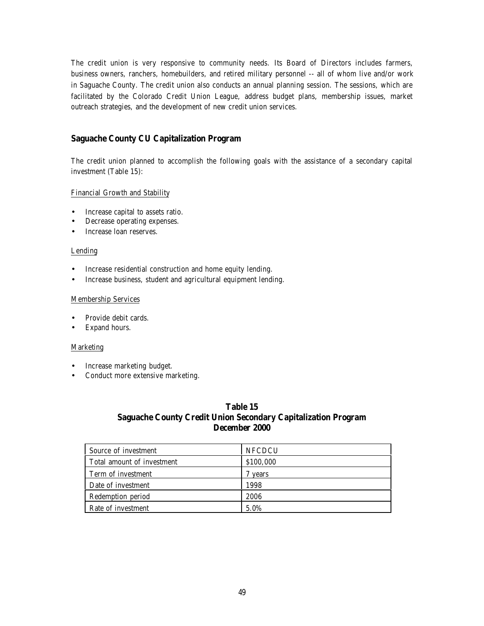The credit union is very responsive to community needs. Its Board of Directors includes farmers, business owners, ranchers, homebuilders, and retired military personnel -- all of whom live and/or work in Saguache County. The credit union also conducts an annual planning session. The sessions, which are facilitated by the Colorado Credit Union League, address budget plans, membership issues, market outreach strategies, and the development of new credit union services.

#### **Saguache County CU Capitalization Program**

The credit union planned to accomplish the following goals with the assistance of a secondary capital investment (Table 15):

#### Financial Growth and Stability

- Increase capital to assets ratio.
- Decrease operating expenses.
- Increase loan reserves.

#### Lending

- Increase residential construction and home equity lending.
- Increase business, student and agricultural equipment lending.

#### Membership Services

- Provide debit cards.
- Expand hours.

#### **Marketing**

- Increase marketing budget.
- Conduct more extensive marketing.

#### **Table 15 Saguache County Credit Union Secondary Capitalization Program December 2000**

| Source of investment       | <b>NFCDCU</b> |
|----------------------------|---------------|
| Total amount of investment | \$100,000     |
| Term of investment         | vears         |
| Date of investment         | 1998          |
| Redemption period          | 2006          |
| Rate of investment         | 5.0%          |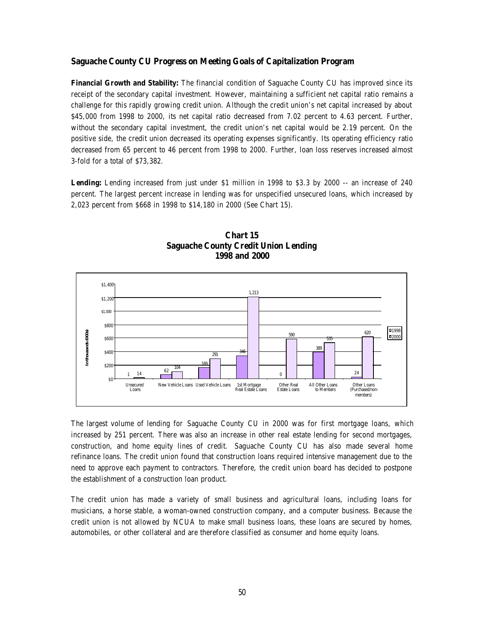#### **Saguache County CU Progress on Meeting Goals of Capitalization Program**

**Financial Growth and Stability:** The financial condition of Saguache County CU has improved since its receipt of the secondary capital investment. However, maintaining a sufficient net capital ratio remains a challenge for this rapidly growing credit union. Although the credit union's net capital increased by about \$45,000 from 1998 to 2000, its net capital ratio decreased from 7.02 percent to 4.63 percent. Further, without the secondary capital investment, the credit union's net capital would be 2.19 percent. On the positive side, the credit union decreased its operating expenses significantly. Its operating efficiency ratio decreased from 65 percent to 46 percent from 1998 to 2000. Further, loan loss reserves increased almost 3-fold for a total of \$73,382.

**Lending:** Lending increased from just under \$1 million in 1998 to \$3.3 by 2000 -- an increase of 240 percent. The largest percent increase in lending was for unspecified unsecured loans, which increased by 2,023 percent from \$668 in 1998 to \$14,180 in 2000 (See Chart 15).



**Chart 15 Saguache County Credit Union Lending 1998 and 2000**

The largest volume of lending for Saguache County CU in 2000 was for first mortgage loans, which increased by 251 percent. There was also an increase in other real estate lending for second mortgages, construction, and home equity lines of credit. Saguache County CU has also made several home refinance loans. The credit union found that construction loans required intensive management due to the need to approve each payment to contractors. Therefore, the credit union board has decided to postpone the establishment of a construction loan product.

The credit union has made a variety of small business and agricultural loans, including loans for musicians, a horse stable, a woman-owned construction company, and a computer business. Because the credit union is not allowed by NCUA to make small business loans, these loans are secured by homes, automobiles, or other collateral and are therefore classified as consumer and home equity loans.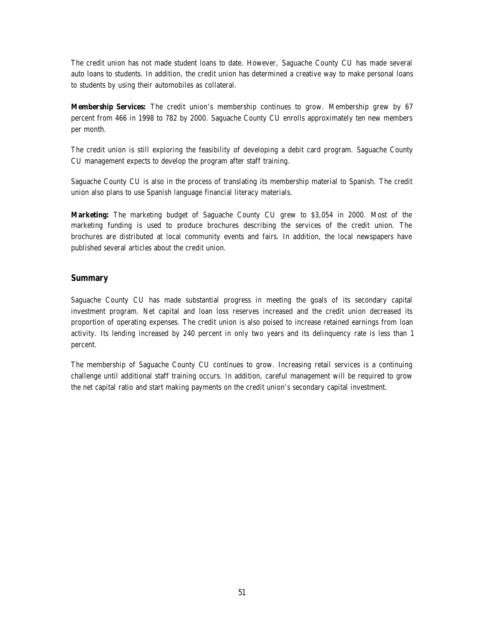The credit union has not made student loans to date. However, Saguache County CU has made several auto loans to students. In addition, the credit union has determined a creative way to make personal loans to students by using their automobiles as collateral.

**Membership Services:** The credit union's membership continues to grow. Membership grew by 67 percent from 466 in 1998 to 782 by 2000. Saguache County CU enrolls approximately ten new members per month.

The credit union is still exploring the feasibility of developing a debit card program. Saguache County CU management expects to develop the program after staff training.

Saguache County CU is also in the process of translating its membership material to Spanish. The credit union also plans to use Spanish language financial literacy materials.

**Marketing:** The marketing budget of Saguache County CU grew to \$3,054 in 2000. Most of the marketing funding is used to produce brochures describing the services of the credit union. The brochures are distributed at local community events and fairs. In addition, the local newspapers have published several articles about the credit union.

#### **Summary**

Saguache County CU has made substantial progress in meeting the goals of its secondary capital investment program. Net capital and loan loss reserves increased and the credit union decreased its proportion of operating expenses. The credit union is also poised to increase retained earnings from loan activity. Its lending increased by 240 percent in only two years and its delinquency rate is less than 1 percent.

The membership of Saguache County CU continues to grow. Increasing retail services is a continuing challenge until additional staff training occurs. In addition, careful management will be required to grow the net capital ratio and start making payments on the credit union's secondary capital investment.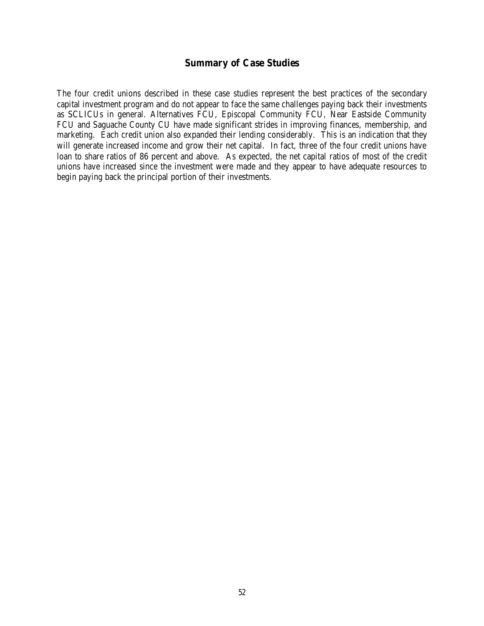### **Summary of Case Studies**

The four credit unions described in these case studies represent the best practices of the secondary capital investment program and do not appear to face the same challenges paying back their investments as SCLICUs in general. Alternatives FCU, Episcopal Community FCU, Near Eastside Community FCU and Saguache County CU have made significant strides in improving finances, membership, and marketing. Each credit union also expanded their lending considerably. This is an indication that they will generate increased income and grow their net capital. In fact, three of the four credit unions have loan to share ratios of 86 percent and above. As expected, the net capital ratios of most of the credit unions have increased since the investment were made and they appear to have adequate resources to begin paying back the principal portion of their investments.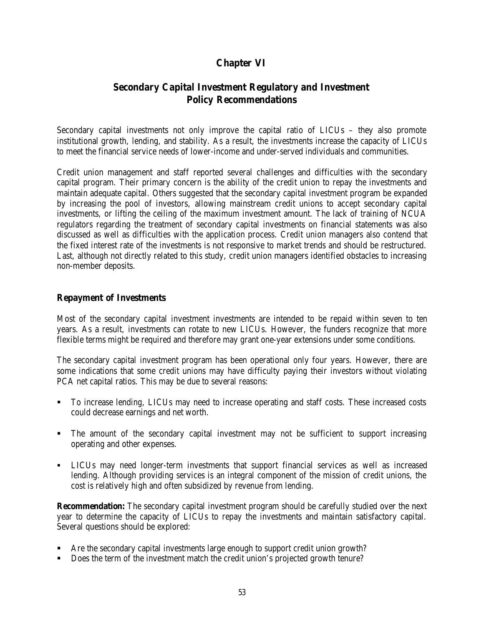# **Chapter VI**

# **Secondary Capital Investment Regulatory and Investment Policy Recommendations**

Secondary capital investments not only improve the capital ratio of LICUs – they also promote institutional growth, lending, and stability. As a result, the investments increase the capacity of LICUs to meet the financial service needs of lower-income and under-served individuals and communities.

Credit union management and staff reported several challenges and difficulties with the secondary capital program. Their primary concern is the ability of the credit union to repay the investments and maintain adequate capital. Others suggested that the secondary capital investment program be expanded by increasing the pool of investors, allowing mainstream credit unions to accept secondary capital investments, or lifting the ceiling of the maximum investment amount. The lack of training of NCUA regulators regarding the treatment of secondary capital investments on financial statements was also discussed as well as difficulties with the application process. Credit union managers also contend that the fixed interest rate of the investments is not responsive to market trends and should be restructured. Last, although not directly related to this study, credit union managers identified obstacles to increasing non-member deposits.

# **Repayment of Investments**

Most of the secondary capital investment investments are intended to be repaid within seven to ten years. As a result, investments can rotate to new LICUs. However, the funders recognize that more flexible terms might be required and therefore may grant one-year extensions under some conditions.

The secondary capital investment program has been operational only four years. However, there are some indications that some credit unions may have difficulty paying their investors without violating PCA net capital ratios. This may be due to several reasons:

- ß To increase lending, LICUs may need to increase operating and staff costs. These increased costs could decrease earnings and net worth.
- ß The amount of the secondary capital investment may not be sufficient to support increasing operating and other expenses.
- ß LICUs may need longer-term investments that support financial services as well as increased lending. Although providing services is an integral component of the mission of credit unions, the cost is relatively high and often subsidized by revenue from lending.

**Recommendation:** The secondary capital investment program should be carefully studied over the next year to determine the capacity of LICUs to repay the investments and maintain satisfactory capital. Several questions should be explored:

- ß Are the secondary capital investments large enough to support credit union growth?
- Does the term of the investment match the credit union's projected growth tenure?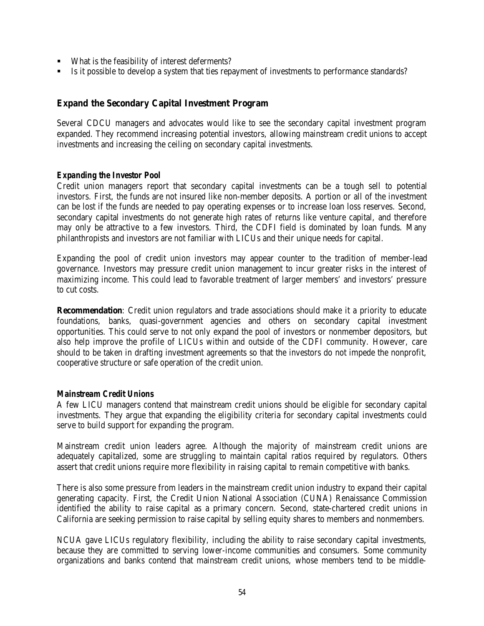- What is the feasibility of interest deferments?
- **EXECUTE:** Is it possible to develop a system that ties repayment of investments to performance standards?

# **Expand the Secondary Capital Investment Program**

Several CDCU managers and advocates would like to see the secondary capital investment program expanded. They recommend increasing potential investors, allowing mainstream credit unions to accept investments and increasing the ceiling on secondary capital investments.

### *Expanding the Investor Pool*

Credit union managers report that secondary capital investments can be a tough sell to potential investors. First, the funds are not insured like non-member deposits. A portion or all of the investment can be lost if the funds are needed to pay operating expenses or to increase loan loss reserves. Second, secondary capital investments do not generate high rates of returns like venture capital, and therefore may only be attractive to a few investors. Third, the CDFI field is dominated by loan funds. Many philanthropists and investors are not familiar with LICUs and their unique needs for capital.

Expanding the pool of credit union investors may appear counter to the tradition of member-lead governance. Investors may pressure credit union management to incur greater risks in the interest of maximizing income. This could lead to favorable treatment of larger members' and investors' pressure to cut costs.

**Recommendation**: Credit union regulators and trade associations should make it a priority to educate foundations, banks, quasi-government agencies and others on secondary capital investment opportunities. This could serve to not only expand the pool of investors or nonmember depositors, but also help improve the profile of LICUs within and outside of the CDFI community. However, care should to be taken in drafting investment agreements so that the investors do not impede the nonprofit, cooperative structure or safe operation of the credit union.

#### *Mainstream Credit Unions*

A few LICU managers contend that mainstream credit unions should be eligible for secondary capital investments. They argue that expanding the eligibility criteria for secondary capital investments could serve to build support for expanding the program.

Mainstream credit union leaders agree. Although the majority of mainstream credit unions are adequately capitalized, some are struggling to maintain capital ratios required by regulators. Others assert that credit unions require more flexibility in raising capital to remain competitive with banks.

There is also some pressure from leaders in the mainstream credit union industry to expand their capital generating capacity. First, the Credit Union National Association (CUNA) Renaissance Commission identified the ability to raise capital as a primary concern. Second, state-chartered credit unions in California are seeking permission to raise capital by selling equity shares to members and nonmembers.

NCUA gave LICUs regulatory flexibility, including the ability to raise secondary capital investments, because they are committed to serving lower-income communities and consumers. Some community organizations and banks contend that mainstream credit unions, whose members tend to be middle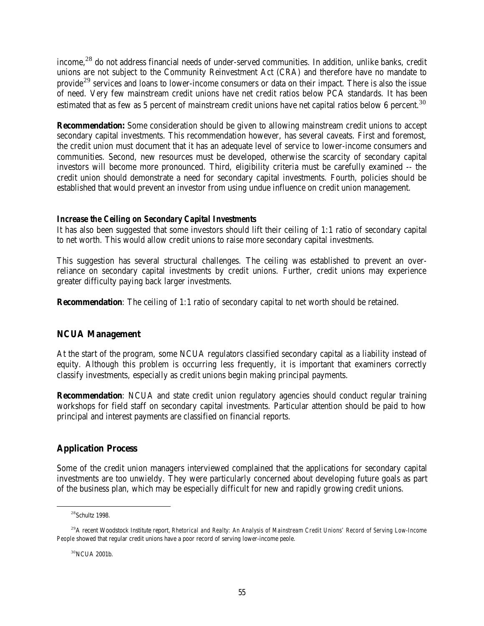income,<sup>28</sup> do not address financial needs of under-served communities. In addition, unlike banks, credit unions are not subject to the Community Reinvestment Act (CRA) and therefore have no mandate to provide<sup>29</sup> services and loans to lower-income consumers or data on their impact. There is also the issue of need. Very few mainstream credit unions have net credit ratios below PCA standards. It has been estimated that as few as 5 percent of mainstream credit unions have net capital ratios below 6 percent.<sup>30</sup>

**Recommendation:** Some consideration should be given to allowing mainstream credit unions to accept secondary capital investments. This recommendation however, has several caveats. First and foremost, the credit union must document that it has an adequate level of service to lower-income consumers and communities. Second, new resources must be developed, otherwise the scarcity of secondary capital investors will become more pronounced. Third, eligibility criteria must be carefully examined -- the credit union should demonstrate a need for secondary capital investments. Fourth, policies should be established that would prevent an investor from using undue influence on credit union management.

### *Increase the Ceiling on Secondary Capital Investments*

It has also been suggested that some investors should lift their ceiling of 1:1 ratio of secondary capital to net worth. This would allow credit unions to raise more secondary capital investments.

This suggestion has several structural challenges. The ceiling was established to prevent an overreliance on secondary capital investments by credit unions. Further, credit unions may experience greater difficulty paying back larger investments.

**Recommendation**: The ceiling of 1:1 ratio of secondary capital to net worth should be retained.

# **NCUA Management**

At the start of the program, some NCUA regulators classified secondary capital as a liability instead of equity. Although this problem is occurring less frequently, it is important that examiners correctly classify investments, especially as credit unions begin making principal payments.

**Recommendation**: NCUA and state credit union regulatory agencies should conduct regular training workshops for field staff on secondary capital investments. Particular attention should be paid to how principal and interest payments are classified on financial reports.

# **Application Process**

Some of the credit union managers interviewed complained that the applications for secondary capital investments are too unwieldy. They were particularly concerned about developing future goals as part of the business plan, which may be especially difficult for new and rapidly growing credit unions.

 $\overline{a}$ 

<sup>30</sup>NCUA 2001b.

<sup>&</sup>lt;sup>28</sup>Schultz 1998.

<sup>29</sup>A recent Woodstock Institute report, *Rhetorical and Realty: An Analysis of Mainstream Credit Unions' Record of Serving Low-Income People* showed that regular credit unions have a poor record of serving lower-income peole.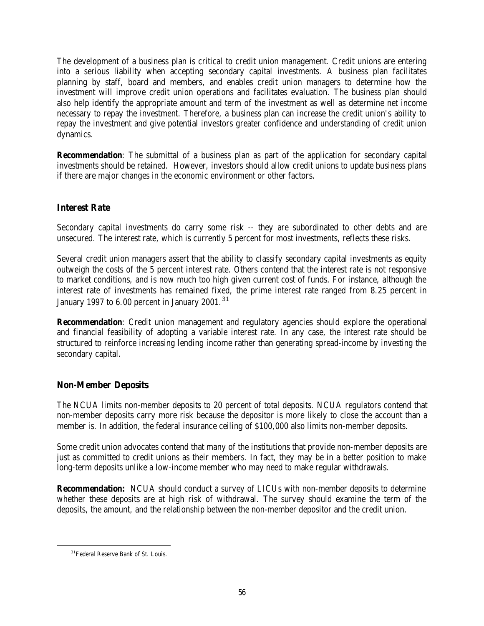The development of a business plan is critical to credit union management. Credit unions are entering into a serious liability when accepting secondary capital investments. A business plan facilitates planning by staff, board and members, and enables credit union managers to determine how the investment will improve credit union operations and facilitates evaluation. The business plan should also help identify the appropriate amount and term of the investment as well as determine net income necessary to repay the investment. Therefore, a business plan can increase the credit union's ability to repay the investment and give potential investors greater confidence and understanding of credit union dynamics.

**Recommendation**: The submittal of a business plan as part of the application for secondary capital investments should be retained. However, investors should allow credit unions to update business plans if there are major changes in the economic environment or other factors.

# **Interest Rate**

Secondary capital investments do carry some risk -- they are subordinated to other debts and are unsecured. The interest rate, which is currently 5 percent for most investments, reflects these risks.

Several credit union managers assert that the ability to classify secondary capital investments as equity outweigh the costs of the 5 percent interest rate. Others contend that the interest rate is not responsive to market conditions, and is now much too high given current cost of funds. For instance, although the interest rate of investments has remained fixed, the prime interest rate ranged from 8.25 percent in January 1997 to 6.00 percent in January 2001.<sup>31</sup>

**Recommendation**: Credit union management and regulatory agencies should explore the operational and financial feasibility of adopting a variable interest rate. In any case, the interest rate should be structured to reinforce increasing lending income rather than generating spread-income by investing the secondary capital.

# **Non-Member Deposits**

The NCUA limits non-member deposits to 20 percent of total deposits. NCUA regulators contend that non-member deposits carry more risk because the depositor is more likely to close the account than a member is. In addition, the federal insurance ceiling of \$100,000 also limits non-member deposits.

Some credit union advocates contend that many of the institutions that provide non-member deposits are just as committed to credit unions as their members. In fact, they may be in a better position to make long-term deposits unlike a low-income member who may need to make regular withdrawals.

**Recommendation:** NCUA should conduct a survey of LICUs with non-member deposits to determine whether these deposits are at high risk of withdrawal. The survey should examine the term of the deposits, the amount, and the relationship between the non-member depositor and the credit union.

 $\overline{a}$ 

<sup>&</sup>lt;sup>31</sup> Federal Reserve Bank of St. Louis.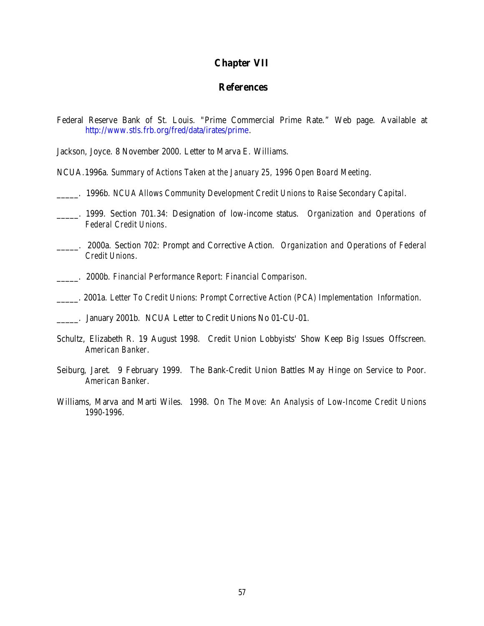### **Chapter VII**

# **References**

Federal Reserve Bank of St. Louis. "Prime Commercial Prime Rate." Web page. Available at http://www.stls.frb.org/fred/data/irates/prime.

Jackson, Joyce. 8 November 2000. Letter to Marva E. Williams.

NCUA.1996a. *Summary of Actions Taken at the January 25, 1996 Open Board Meeting*.

- \_\_\_\_\_. 1996b. *NCUA Allows Community Development Credit Unions to Raise Secondary Capital*.
- \_\_\_\_\_. 1999. Section 701.34: Designation of low-income status. *Organization and Operations of Federal Credit Unions*.
- \_\_\_\_\_. 2000a. Section 702: Prompt and Corrective Action. *Organization and Operations of Federal Credit Unions*.
- \_\_\_\_\_. 2000b. *Financial Performance Report: Financial Comparison*.
- \_\_\_\_\_. 2001a. *Letter To Credit Unions: Prompt Corrective Action (PCA) Implementation Information*.

- Schultz, Elizabeth R. 19 August 1998. Credit Union Lobbyists' Show Keep Big Issues Offscreen. *American Banker*.
- Seiburg, Jaret. 9 February 1999. The Bank-Credit Union Battles May Hinge on Service to Poor. *American Banker*.
- Williams, Marva and Marti Wiles. 1998. *On The Move: An Analysis of Low-Income Credit Unions 1990-1996*.

\_\_\_\_\_. January 2001b. NCUA Letter to Credit Unions No 01-CU-01.